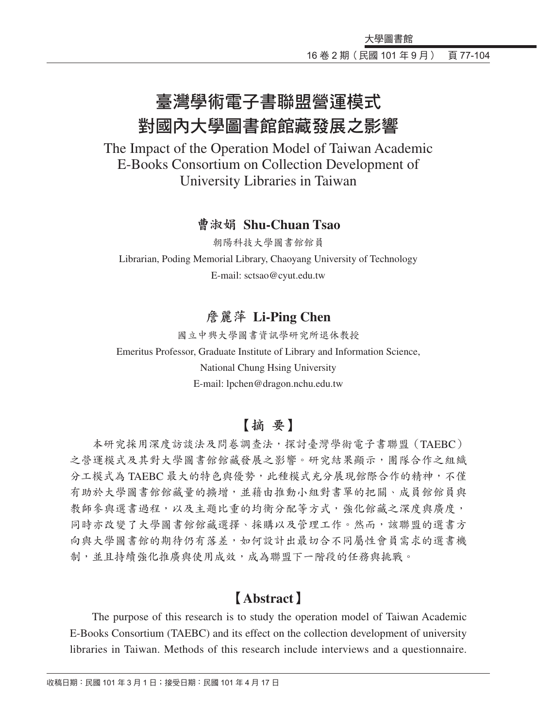# 臺灣學術電子書聯盟營運模式 對國內大學圖書館館藏發展之影響

The Impact of the Operation Model of Taiwan Academic E-Books Consortium on Collection Development of University Libraries in Taiwan

#### 曹淑娟 **Shu-Chuan Tsao**

朝陽科技大學圖書館館員 Librarian, Poding Memorial Library, Chaoyang University of Technology E-mail: sctsao@cyut.edu.tw

### 詹麗萍 **Li-Ping Chen**

國立中興大學圖書資訊學研究所退休教授 Emeritus Professor, Graduate Institute of Library and Information Science, National Chung Hsing University E-mail: lpchen@dragon.nchu.edu.tw

## 【摘 要】

本研究採用深度訪談法及問卷調查法,探討臺灣學術電子書聯盟(TAEBC) 之營運模式及其對大學圖書館館藏發展之影響。研究結果顯示,團隊合作之組織 分工模式為 TAEBC 最大的特色與優勢,此種模式充分展現館際合作的精神,不僅 有助於大學圖書館館藏量的擴增,並藉由推動小組對書單的把關、成員館館員與 教師參與選書過程,以及主題比重的均衡分配等方式,強化館藏之深度與廣度, 同時亦改變了大學圖書館館藏選擇、採購以及管理工作。然而,該聯盟的選書方 向與大學圖書館的期待仍有落差,如何設計出最切合不同屬性會員需求的選書機 制,並且持續強化推廣與使用成效,成為聯盟下一階段的任務與挑戰。

# 【**Abstract**】

The purpose of this research is to study the operation model of Taiwan Academic E-Books Consortium (TAEBC) and its effect on the collection development of university libraries in Taiwan. Methods of this research include interviews and a questionnaire.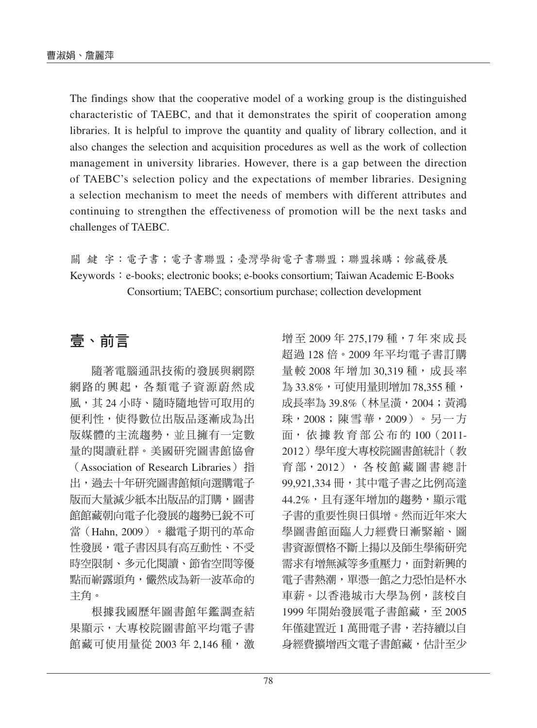The findings show that the cooperative model of a working group is the distinguished characteristic of TAEBC, and that it demonstrates the spirit of cooperation among libraries. It is helpful to improve the quantity and quality of library collection, and it also changes the selection and acquisition procedures as well as the work of collection management in university libraries. However, there is a gap between the direction of TAEBC's selection policy and the expectations of member libraries. Designing a selection mechanism to meet the needs of members with different attributes and continuing to strengthen the effectiveness of promotion will be the next tasks and challenges of TAEBC.

關 鍵 字:電子書;電子書聯盟;臺灣學術電子書聯盟;聯盟採購;館藏發展 Keywords: e-books; electronic books; e-books consortium; Taiwan Academic E-Books Consortium; TAEBC; consortium purchase; collection development

# 壹、前言

隨著電腦通訊技術的發展與網際 網路的興起,各類電子資源蔚然成 風,其 24 小時、隨時隨地皆可取用的 便利性,使得數位出版品逐漸成為出 版媒體的主流趨勢,並且擁有一定數 量的閱讀社群。美國研究圖書館協會 (Association of Research Libraries) 指 出,過去十年研究圖書館傾向選購電子 版而大量減少紙本出版品的訂購,圖書 館館藏朝向電子化發展的趨勢已銳不可 當(Hahn, 2009)。繼電子期刊的革命 性發展,電子書因具有高互動性、不受 時空限制、多元化閱讀、節省空間等優 點而嶄露頭角,儼然成為新一波革命的 主角。

根據我國歷年圖書館年鑑調查結 果顯示,大專校院圖書館平均電子書 館藏可使用量從 2003年 2,146 種,激 增至 2009年 275,179 種, 7年來成長 超過 128 倍。2009 年平均電子書訂購 量 較 2008 年增加 30,319 種, 成 長 率 為 33.8%,可使用量則增加 78,355 種, 成長率為 39.8%(林呈潢,2004;黃鴻 珠, 2008; 陳雪華, 2009) 。 另一方 面, 依 據 教 育 部 公 布 的 100(2011- 2012)學年度大專校院圖書館統計(教 育部, 2012), 各校館藏圖書總計 99,921,334 冊,其中電子書之比例高達 44.2%,且有逐年增加的趨勢,顯示電 子書的重要性與日俱增。然而近年來大 學圖書館面臨人力經費日漸緊縮、圖 書資源價格不斷上揚以及師生學術研究 需求有增無減等多重壓力,面對新興的 電子書熱潮,單憑一館之力恐怕是杯水 車薪。以香港城市大學為例,該校自 1999年開始發展電子書館藏,至 2005 年僅建置近1萬冊電子書,若持續以自 身經費擴增西文電子書館藏,估計至少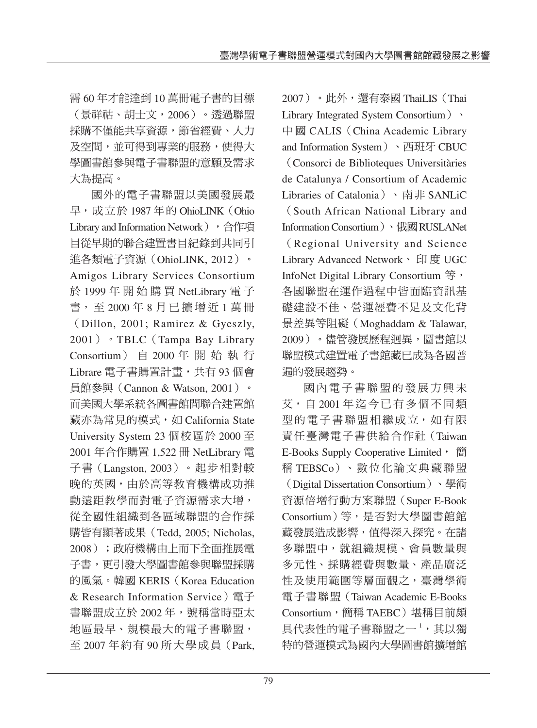需 60 年才能達到 10 萬冊電子書的目標 (景祥祜、胡士文,2006)。透過聯盟 採購不僅能共享資源, 節省經費、人力 及空間,並可得到專業的服務,使得大 學圖書館參與電子書聯盟的意願及需求 大為提高。

國外的電子書聯盟以美國發展最 早,成立於 1987 年的 OhioLINK(Ohio Library and Information Network), 合作項 目從早期的聯合建置書目紀錄到共同引 進各類電子資源(OhioLINK, 2012)。 Amigos Library Services Consortium 於 1999 年開始購買 NetLibrary 電 子 書, 至 2000 年 8 月已擴增近 1 萬 冊 (Dillon, 2001; Ramirez & Gyeszly, 2001)。TBLC(Tampa Bay Library Consortium) 自 2000 年開始執行 Librare 電子書購置計畫, 共有 93 個會 員館參與(Cannon & Watson, 2001)。 而美國大學系統各圖書館間聯合建置館 藏亦為常見的模式,如 California State University System 23 個校區於 2000 至 2001 年合作購置 1,522 冊 NetLibrary 電 子書(Langston, 2003)。起步相對較 晚的英國,由於高等教育機構成功推 動遠距教學而對電子資源需求大增, 從全國性組織到各區域聯盟的合作採 購皆有顯著成果(Tedd, 2005; Nicholas, 2008);政府機構由上而下全面推展電 子書,更引發大學圖書館參與聯盟採購 的風氣。韓國 KERIS(Korea Education & Research Information Service)電子 書聯盟成立於 2002年,號稱當時亞太 地區最早、規模最大的電子書聯盟, 至 2007 年約有 90 所大學成員(Park,

2007)。此外,還有泰國 ThaiLIS(Thai Library Integrated System Consortium) 中國 CALIS (China Academic Library and Information System)、西班牙 CBUC

(Consorci de Biblioteques Universitàries de Catalunya / Consortium of Academic Libraries of Catalonia)、南非 SANLiC (South African National Library and Information Consortium)、俄國RUSLANet (Regional University and Science Library Advanced Network、印度 UGC InfoNet Digital Library Consortium 等, 各國聯盟在運作過程中皆面臨資訊基 礎建設不佳、營運經費不足及文化背 景差異等阻礙(Moghaddam & Talawar, 2009)。儘管發展歷程迥異,圖書館以 聯盟模式建置電子書館藏已成為各國普 遍的發展趨勢。

國內電子書聯盟的發展方興未 艾,自 2001 年迄今已有多個不同類 型的電子書聯盟相繼成立,如有限 責任臺灣電子書供給合作社(Taiwan E-Books Supply Cooperative Limited, 簡 稱 TEBSCo)、數位化論文典藏聯盟 (Digital Dissertation Consortium)、學術 資源倍增行動方案聯盟(Super E-Book Consortium)等,是否對大學圖書館館 藏發展造成影響,值得深入探究。在諸 多聯盟中,就組織規模、會員數量與 多元性、採購經費與數量、產品廣泛 性及使用範圍等層面觀之,臺灣學術 電子書聯盟(Taiwan Academic E-Books Consortium,簡稱 TAEBC)堪稱目前頗  $\pm$ 代表性的電子書聯盟之一 $^1$ ,其以獨 特的營運模式為國內大學圖書館擴增館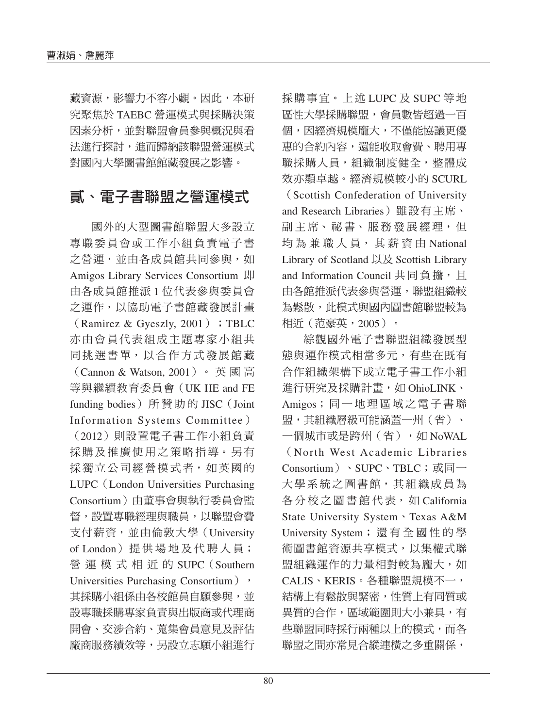藏資源,影響力不容小覷。因此,本研 究聚焦於 TAEBC 營運模式與採購決策 因素分析,並對聯盟會員參與概況與看 法進行探討,進而歸納該聯盟營運模式 對國內大學圖書館館藏發展之影響。

# 貳、電子書聯盟之營運模式

國外的大型圖書館聯盟大多設立 專職委員會或工作小組負責電子書 之營運,並由各成員館共同參與,如 Amigos Library Services Consortium 即 由各成員館推派 1 位代表參與委員會 之運作,以協助電子書館藏發展計畫  $(Ramirez & Gyeszly, 2001)$ ; TBLC 亦由會員代表組成主題專家小組共 同挑選書單,以合作方式發展館藏 (Cannon & Watson, 2001)。 英 國 高 等與繼續教育委員會(UK HE and FE funding bodies) 所贊助的 JISC (Joint Information Systems Committee)

(2012)則設置電子書工作小組負責 採購及推廣使用之策略指導。另有 採獨立公司經營模式者,如英國的 LUPC(London Universities Purchasing Consortium)由董事會與執行委員會監 督,設置專職經理與職員,以聯盟會費 支付薪資,並由倫敦大學(University of London) 提供場地及代聘人員; 營運模式相近的 SUPC(Southern Universities Purchasing Consortium), 其採購小組係由各校館員自願參與,並 設專職採購專家負責與出版商或代理商 開會、交涉合約、蒐集會員意見及評估 廠商服務績效等,另設立志願小組進行 採購事宜。上述 LUPC 及 SUPC 等地 區性大學採購聯盟,會員數皆超過一百 個,因經濟規模龐大,不僅能協議更優 惠的合約內容,還能收取會費、聘用專 職採購人員,組織制度健全,整體成 效亦顯卓越。經濟規模較小的 SCURL

(Scottish Confederation of University and Research Libraries)雖設有主席、 副主席、祕書、服務發展經理,但 均為兼職人員, 其薪資由 National Library of Scotland 以及 Scottish Library and Information Council 共同負擔, 且 由各館推派代表參與營運,聯盟組織較 為鬆散,此模式與國內圖書館聯盟較為 相近(范豪英,2005)。

綜觀國外電子書聯盟組織發展型 態與運作模式相當多元,有些在既有 合作組織架構下成立電子書工作小組 進行研究及採購計畫,如 OhioLINK、 Amigos;同一地理區域之電子書聯 盟,其組織層級可能涵蓋一州(省)、 一個城市或是跨州(省),如 NoWAL (North West Academic Libraries Consortium)、SUPC、TBLC;或同一 大學系統之圖書館,其組織成員為 各分校之圖書館代表, 如 California State University System、Texas A&M University System;還有全國性的學 術圖書館資源共享模式,以集權式聯 盟組織運作的力量相對較為龐大,如 CALIS、KERIS。各種聯盟規模不一, 結構上有鬆散與緊密,性質上有同質或 異質的合作,區域範圍則大小兼具,有 些聯盟同時採行兩種以上的模式,而各 聯盟之間亦常見合縱連橫之多重關係,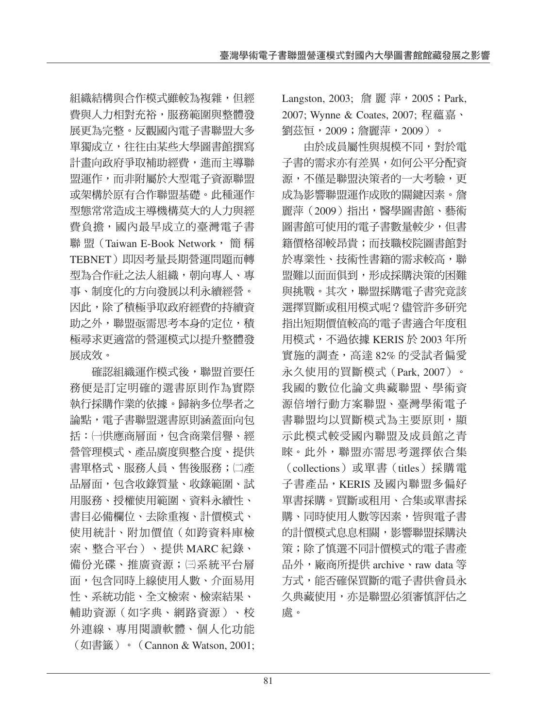組織結構與合作模式雖較為複雜,但經 費與人力相對充裕,服務範圍與整體發 展更為完整。反觀國內電子書聯盟大多 單獨成立,往往由某些大學圖書館撰寫 計畫向政府爭取補助經費,進而主導聯 盟運作,而非附屬於大型電子資源聯盟 或架構於原有合作聯盟基礎。此種運作 型態常常造成主導機構莫大的人力與經 費負擔,國內最早成立的臺灣電子書 聯 盟 (Taiwan E-Book Network, 簡稱 TEBNET)即因考量長期營運問題而轉 型為合作社之法人組織,朝向專人、專 事、制度化的方向發展以利永續經營。 因此,除了積極爭取政府經費的持續資 助之外, 聯盟亟需思考本身的定位, 積 極尋求更適當的營運模式以提升整體發 展成效。

確認組織運作模式後,聯盟首要任 務便是訂定明確的選書原則作為實際 執行採購作業的依據。歸納多位學者之 論點,電子書聯盟選書原則涵蓋面向包 括:㈠供應商層面,包含商業信譽、經 營管理模式、產品廣度與整合度、提供 書單格式、服務人員、售後服務;㈡產 品層面,包含收錄質量、收錄範圍、試 用服務、授權使用範圍、資料永續性、 書目必備欄位、去除重複、計價模式、 使用統計、附加價值(如跨資料庫檢 索、整合平台)、提供 MARC 紀錄、 備份光碟、推廣資源;回系統平台層 面,包含同時上線使用人數、介面易用 性、系統功能、全文檢索、檢索結果、 輔助資源(如字典、網路資源)、校 外連線、專用閱讀軟體、個人化功能 (如書籤)。(Cannon & Watson, 2001; Langston, 2003; 詹 麗 萍, 2005; Park, 2007; Wynne & Coates, 2007; 程蘊嘉、 劉茲恒,2009;詹麗萍,2009)。

由於成員屬性與規模不同,對於電 子書的需求亦有差異,如何公平分配資 源,不僅是聯盟決策者的一大考驗,更 成為影響聯盟運作成敗的關鍵因素。詹 麗萍(2009)指出,醫學圖書館、藝術 圖書館可使用的電子書數量較少,但書 籍價格卻較昂貴;而技職校院圖書館對 於專業性、技術性書籍的需求較高,聯 盟難以面面俱到,形成採購決策的困難 與挑戰。其次,聯盟採購電子書究竟該 選擇買斷或租用模式呢?儘管許多研究 指出短期價值較高的電子書適合年度租 用模式,不過依據 KERIS 於 2003年所 實施的調查,高達 82% 的受試者偏愛 永久使用的買斷模式(Park, 2007)。 我國的數位化論文典藏聯盟、學術資 源倍增行動方案聯盟、臺灣學術電子 書聯盟均以買斷模式為主要原則,顯 示此模式較受國內聯盟及成員館之青 睞。此外,聯盟亦需思考選擇依合集 (collections)或單書(titles)採購電 子書產品,KERIS 及國內聯盟多偏好 單書採購。買斷或租用、合集或單書採 購、同時使用人數等因素,皆與電子書 的計價模式息息相關,影響聯盟採購決 策;除了慎選不同計價模式的電子書產 品外,廠商所提供 archive、raw data 等 方式,能否確保買斷的電子書供會員永 久典藏使用,亦是聯盟必須審慎評估之 處。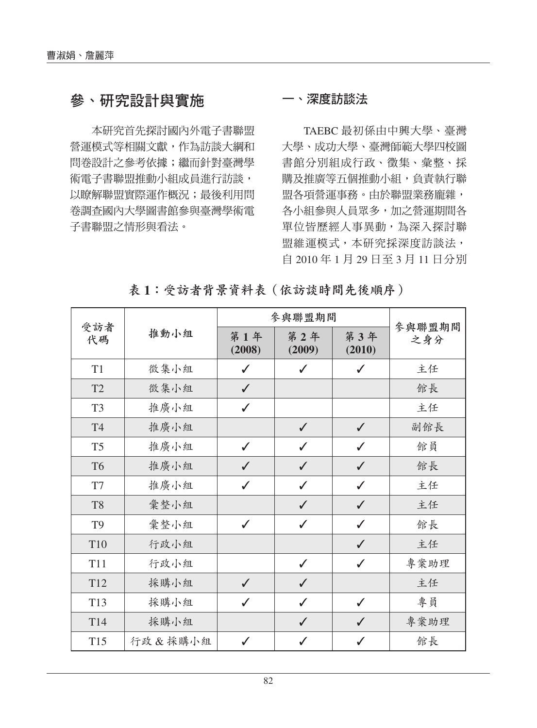# 參、研究設計與實施

本研究首先探討國內外電子書聯盟 營運模式等相關文獻,作為訪談大綱和 問卷設計之參考依據;繼而針對臺灣學 術電子書聯盟推動小組成員進行訪談, 以瞭解聯盟實際運作概況;最後利用問 卷調查國內大學圖書館參與臺灣學術電 子書聯盟之情形與看法。

#### 一、深度訪談法

TAEBC 最初係由中興大學、臺灣 大學、成功大學、臺灣師範大學四校圖 書館分別組成行政、徵集、彙整、採 購及推廣等五個推動小組,負責執行聯 盟各項營運事務。由於聯盟業務龐雜, 各小組參與人員眾多,加之營運期間各 單位皆歷經人事異動,為深入探討聯 盟維運模式,本研究採深度訪談法, 自 2010 年 1 月 29 日至 3 月 11 日分別

|                 |         |               | 參與聯盟期間        |               | 參與聯盟期間 |  |
|-----------------|---------|---------------|---------------|---------------|--------|--|
| 受訪者<br>代碼       | 推動小組    | 第1年<br>(2008) | 第2年<br>(2009) | 第3年<br>(2010) | 之身分    |  |
| T1              | 徵集小組    | ✓             | ✓             | $\checkmark$  | 主任     |  |
| T <sub>2</sub>  | 徵集小組    | $\checkmark$  |               |               | 館長     |  |
| T <sub>3</sub>  | 推廣小組    | $\checkmark$  |               |               | 主任     |  |
| <b>T4</b>       | 推廣小組    |               | $\checkmark$  | $\checkmark$  | 副館長    |  |
| T <sub>5</sub>  | 推廣小組    | $\checkmark$  | $\checkmark$  | $\checkmark$  | 館員     |  |
| T <sub>6</sub>  | 推廣小組    | $\checkmark$  | $\checkmark$  | $\checkmark$  | 館長     |  |
| T7              | 推廣小組    | $\checkmark$  | $\checkmark$  | ✓             | 主任     |  |
| T <sub>8</sub>  | 彙整小組    |               | $\checkmark$  | ✓             | 主任     |  |
| T <sub>9</sub>  | 彙整小組    | $\checkmark$  | ✓             | ✓             | 館長     |  |
| T10             | 行政小組    |               |               | $\checkmark$  | 主任     |  |
| <b>T11</b>      | 行政小組    |               | $\checkmark$  | $\checkmark$  | 專案助理   |  |
| T <sub>12</sub> | 採購小組    | $\checkmark$  | $\checkmark$  |               | 主任     |  |
| T13             | 採購小組    | $\checkmark$  | ✓             | $\checkmark$  | 專員     |  |
| T14             | 採購小組    |               | $\checkmark$  | J             | 專案助理   |  |
| T15             | 行政&採購小組 | ✓             | ℐ             | J             | 館長     |  |

<sup>表</sup> **1**:受訪者背景資料表(依訪談時間先後順序)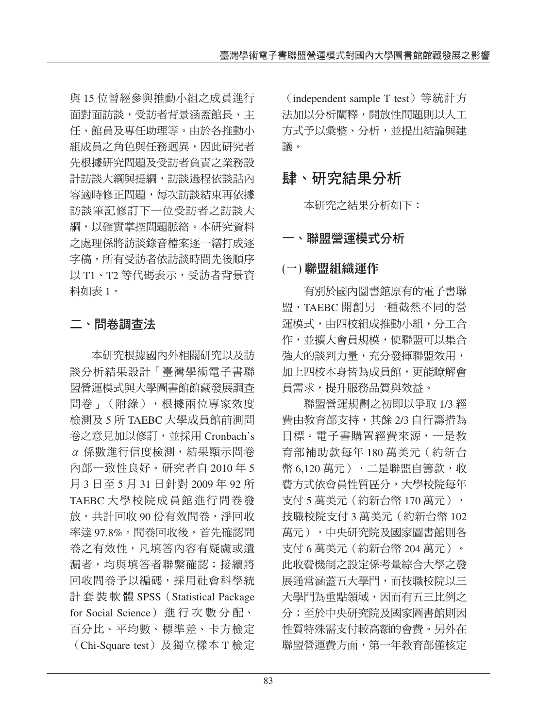與 15 位曾經參與推動小組之成員進行 面對面訪談,受訪者背景涵蓋館長、主 任、館員及專任助理等。由於各推動小 組成員之角色與任務迥異,因此研究者 先根據研究問題及受訪者負責之業務設 計訪談大綱與提綱,訪談過程依談話內 容適時修正問題,每次訪談結束再依據 訪談筆記修訂下一位受訪者之訪談大 綱,以確實掌控問題脈絡。本研究資料 之處理係將訪談錄音檔案逐一繕打成逐 字稿,所有受訪者依訪談時間先後順序 以 T1、T2 等代碼表示,受訪者背景資 料如表 1。

### 二、問卷調查法

本研究根據國內外相關研究以及訪 談分析結果設計「臺灣學術電子書聯 盟營運模式與大學圖書館館藏發展調查 問卷」(附錄),根據兩位專家效度 檢測及 5 所 TAEBC 大學成員館前測問 卷之意見加以修訂,並採用 Cronbach's α 係數進行信度檢測,結果顯示問卷 內部一致性良好。研究者自 2010 年 5 月 3 日至 5 月 31 日針對 2009 年 92 所 TAEBC 大學校院成員館進行問卷發 放,共計回收 90 份有效問卷,淨回收 率達 97.8%。問卷回收後,首先確認問 卷之有效性,凡填答內容有疑慮或遺 漏者,均與填答者聯繫確認;接續將 回收問卷予以編碼,採用社會科學統 計套裝軟體 SPSS (Statistical Package for Social Science) 進 行 次 數 分 配、 百分比、平均數、標準差、卡方檢定 (Chi-Square test)及獨立樣本 T 檢定

(independent sample T test)等統計方 法加以分析闡釋,開放性問題則以人工 方式予以彙整、分析,並提出結論與建 議。

# 肆、研究結果分析

本研究之結果分析如下:

#### 一、聯盟營運模式分析

#### **(**一**)** 聯盟組織運作

有別於國內圖書館原有的電子書聯 盟,TAEBC 開創另一種截然不同的營 運模式,由四校組成推動小組,分工合 作,並擴大會員規模,使聯盟可以集合 強大的談判力量,充分發揮聯盟效用, 加上四校本身皆為成員館,更能瞭解會 員需求,提升服務品質與效益。

聯盟營運規劃之初即以爭取 1/3 經 費由教育部支持,其餘 2/3 自行籌措為 目標。電子書購置經費來源,一是教 育部補助款每年 180 萬美元(約新台 幣 6,120 萬元),二是聯盟自籌款,收 費方式依會員性質區分,大學校院每年 支付 5 萬美元 (約新台幣 170 萬元), 技職校院支付 3 萬美元(約新台幣 102 萬元),中央研究院及國家圖書館則各 支付 6 萬美元(約新台幣 204 萬元)。 此收費機制之設定係考量綜合大學之發 展通常涵蓋五大學門,而技職校院以三 大學門為重點領域,因而有五三比例之 分;至於中央研究院及國家圖書館則因 性質特殊需支付較高額的會費。另外在 聯盟營運費方面,第一年教育部僅核定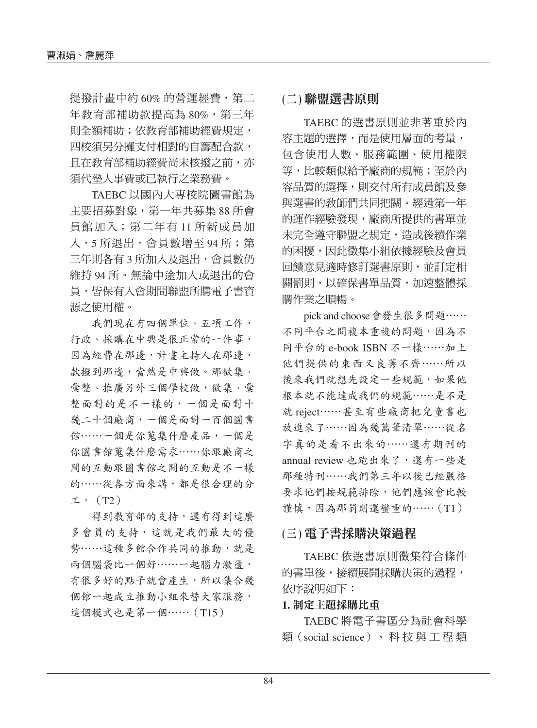提撥計畫中約 60% 的營運經費,第二 年教育部補助款提高為 80%,第三年 則全額補助;依教育部補助經費規定, 四校須另分攤支付相對的自籌配合款, 且在教育部補助經費尚未核撥之前,亦 須代墊人事費或已執行之業務費。

TAEBC 以國內大專校院圖書館為 主要招募對象,第一年共募集 88 所會 員館加入;第二年有 11 所新成員加 入,5 所退出,會員數增至 94 所;第 三年則各有 3 所加入及退出,會員數仍 維持 94 所。無論中途加入或退出的會 員,皆保有入會期間聯盟所購電子書資 源之使用權。

我們現在有四個單位、五項工作, 行政、採購在中興是很正常的一件事, 因為經費在那邊,計畫主持人在那邊, 款撥到那邊,當然是中興做。那徵集、 彙整、推廣另外三個學校做,徵集、彙 整面對的是不一樣的,一個是面對十 幾二十個廠商,一個是面對一百個圖書 館……一個是你蒐集什麼產品,一個是 你圖書館蒐集什麼需求⋯⋯你跟廠商之 間的互動跟圖書館之間的互動是不一樣 的……從各方面來講,都是很合理的分 工。 $(T2)$ 

得到教育部的支持,還有得到這麼 多會員的支持,這就是我們最大的優 勢⋯⋯這種多館合作共同的推動,就是 兩個腦袋比一個好……一起腦力激盪, 有很多好的點子就會產生,所以集合幾 個館一起成立推動小組來替大家服務, 這個模式也是第一個 …… (T15)

#### **(**二**)** 聯盟選書原則

TAEBC 的選書原則並非著重於內 容主題的選擇,而是使用層面的考量, 包含使用人數、服務範圍、使用權限 等,比較類似給予廠商的規範;至於內 容品質的選擇,則交付所有成員館及參 與選書的教師們共同把關。經過第一年 的運作經驗發現,廠商所提供的書單並 未完全遵守聯盟之規定,造成後續作業 的困擾,因此徵集小組依據經驗及會員 回饋意見適時修訂選書原則,並訂定相 關罰則,以確保書單品質,加速整體採 購作業之順暢。

pick and choose會發生很多問題⋯⋯ 不同平台之間複本重複的問題,因為不 同平台的 e-book ISBN 不一樣⋯⋯加上 他們提供的東西又良莠不齊⋯⋯所以 後來我們就想先設定一些規範,如果他 根本就不能達成我們的規範⋯⋯是不是 就 reject⋯⋯甚至有些廠商把兒童書也 放進來了⋯⋯因為幾萬筆清單⋯⋯從名 字真的是看不出來的⋯⋯還有期刊的 annual review 也跑出來了,還有一些是 那種特刊⋯⋯我們第三年以後已經嚴格 要求他們按規範排除,他們應該會比較 謹慎,因為那罰則還蠻重的……(T1)

#### **(**三**)** 電子書採購決策過程

TAEBC 依選書原則徵集符合條件 的書單後,接續展開採購決策的過程, 依序說明如下:

#### **1.** 制定主題採購比重

TAEBC 將電子書區分為社會科學 類(social science)、 科 技 與 工 程 類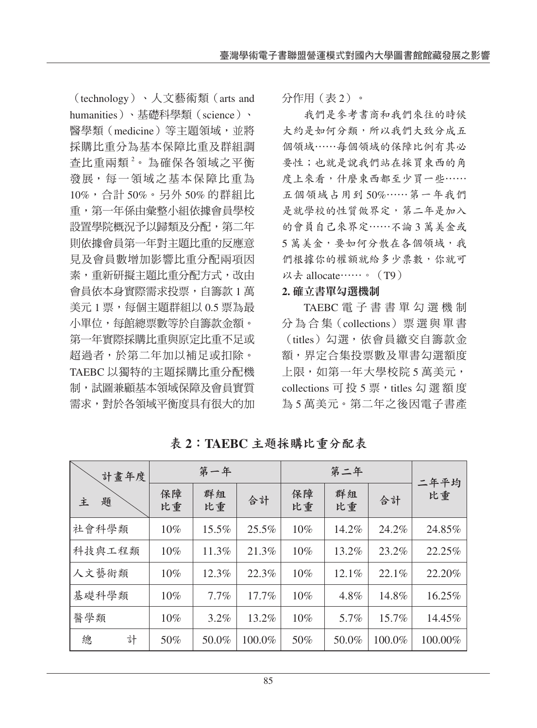(technology)、人文藝術類(arts and humanities)、基礎科學類(science)、 醫學類(medicine)等主題領域,並將 採購比重分為基本保障比重及群組調 查比重兩類<sup>2</sup>。為確保各領域之平衡 發展,每一領域之基本保障比重為 10%,合計 50%。另外 50% 的群組比 重,第一年係由彙整小組依據會員學校 設置學院概況予以歸類及分配,第二年 則依據會員第一年對主題比重的反應意 見及會員數增加影響比重分配兩項因 素,重新研擬主題比重分配方式,改由 會員依本身實際需求投票,自籌款 1 萬 美元 1 票,每個主題群組以 0.5 票為最 小單位,每館總票數等於自籌款金額。 第一年實際採購比重與原定比重不足或 超過者,於第二年加以補足或扣除。 TAEBC 以獨特的主題採購比重分配機 制,試圖兼顧基本領域保障及會員實質 需求,對於各領域平衡度具有很大的加

分作用(表 2)。

我們是參考書商和我們來往的時候 大約是如何分類,所以我們大致分成五 個領域⋯⋯每個領域的保障比例有其必 要性;也就是說我們站在採買東西的角 度上來看,什麼東西都至少買一些…… 五個領域占用到 50%⋯⋯第一年我們 是就學校的性質做界定,第二年是加入 的會員自己來界定⋯⋯不論 3 萬美金或 5 萬美金,要如何分散在各個領域,我 們根據你的權額就給多少票數,你就可 以去 allocate⋯⋯。(T9)

#### **2.** 確立書單勾選機制

TAEBC 電子書書單勾選機制 分 為 合 集(collections)票選與單書 (titles)勾選,依會員繳交自籌款金 額,界定合集投票數及單書勾選額度 上限,如第一年大學校院 5 萬美元, collections 可 投 5 票, titles 勾 選 額 度 為 5 萬美元。第二年之後因電子書產

| 計畫年度<br>題<br>主 |   | 第一年      |          |          |          |          |        |            |
|----------------|---|----------|----------|----------|----------|----------|--------|------------|
|                |   | 保障<br>比重 | 群組<br>比重 | 合計       | 保障<br>比重 | 群組<br>比重 | 合計     | 二年平均<br>比重 |
| 社會科學類          |   | 10%      | 15.5%    | 25.5%    | 10%      | 14.2%    | 24.2%  | 24.85%     |
| 科技與工程類         |   | 10%      | 11.3%    | 21.3%    | 10%      | 13.2%    | 23.2%  | 22.25%     |
| 人文藝術類          |   | 10%      | 12.3%    | 22.3%    | 10%      | 12.1%    | 22.1%  | 22.20%     |
| 基礎科學類          |   | 10%      | 7.7%     | $17.7\%$ | 10%      | 4.8%     | 14.8%  | 16.25%     |
| 醫學類            |   | 10%      | $3.2\%$  | 13.2%    | 10%      | 5.7%     | 15.7%  | 14.45%     |
| 總              | 計 | 50%      | 50.0%    | 100.0%   | 50%      | 50.0%    | 100.0% | 100.00%    |

<sup>表</sup> **2**:**TAEBC** 主題採購比重分配表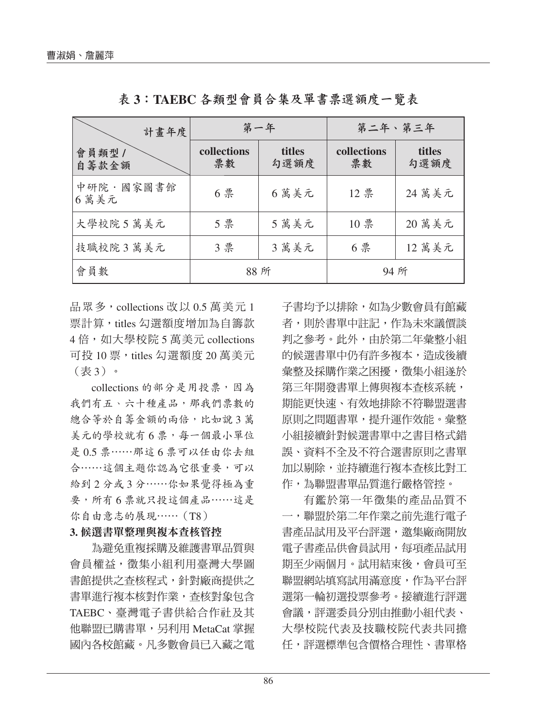| 計畫年度              |                   | 第一年            |                   | 第二年、第三年        |
|-------------------|-------------------|----------------|-------------------|----------------|
| 會員類型 /<br>自籌款金額   | collections<br>票數 | titles<br>勾選額度 | collections<br>票數 | titles<br>勾選額度 |
| 中研院·國家圖書館<br>6萬美元 | 6票                | 6萬美元           | 12 票              | 24 萬美元         |
| 大學校院 5 萬美元        | 5票                | 5萬美元           | 10票               | 20 萬美元         |
| 技職校院3萬美元          | 3票                | 3萬美元           | 6票                | 12 萬美元         |
| 會員數               | 88 所              |                |                   | 94 所           |

<sup>表</sup> **3**:**TAEBC** 各類型會員合集及單書票選額度一覽表

品眾多, collections 改以 0.5 萬美元 1 票計算,titles 勾選額度增加為自籌款 4倍,如大學校院 5 萬美元 collections 可投 10 票, titles 勾選額度 20 萬美元 (表 3)。

collections 的部分是用投票,因為 我們有五、六十種產品,那我們票數的 總合等於自籌金額的兩倍,比如說 3萬 美元的學校就有6票,每一個最小單位 是 0.5 票⋯⋯那這 6 票可以任由你去組 合⋯⋯這個主題你認為它很重要,可以 給到 2 分或 3 分⋯⋯你如果覺得極為重 要,所有 6 票就只投這個產品⋯⋯這是 你自由意志的展現⋯⋯(T8)

#### **3.** 候選書單整理與複本查核管控

為避免重複採購及維護書單品質與 會員權益,徵集小組利用臺灣大學圖 書館提供之查核程式,針對廠商提供之 書單進行複本核對作業,查核對象包含 TAEBC、臺灣電子書供給合作社及其 他聯盟已購書單,另利用 MetaCat 掌握 國內各校館藏。凡多數會員已入藏之電 子書均予以排除,如為少數會員有館藏 者,則於書單中註記,作為未來議價談 判之參考。此外,由於第二年彙整小組 的候選書單中仍有許多複本,造成後續 彙整及採購作業之困擾,徵集小組遂於 第三年開發書單上傳與複本查核系統, 期能更快速、有效地排除不符聯盟選書 原則之問題書單,提升運作效能。彙整 小組接續針對候選書單中之書目格式錯 誤、資料不全及不符合選書原則之書單 加以剔除,並持續進行複本查核比對工 作,為聯盟書單品質進行嚴格管控。

有鑑於第一年徵集的產品品質不 一,聯盟於第二年作業之前先進行電子 書產品試用及平台評選,邀集廠商開放 電子書產品供會員試用,每項產品試用 期至少兩個月。試用結束後,會員可至 聯盟網站填寫試用滿意度,作為平台評 選第一輪初選投票參考。接續進行評選 會議,評選委員分別由推動小組代表、 大學校院代表及技職校院代表共同擔 任,評選標準包含價格合理性、書單格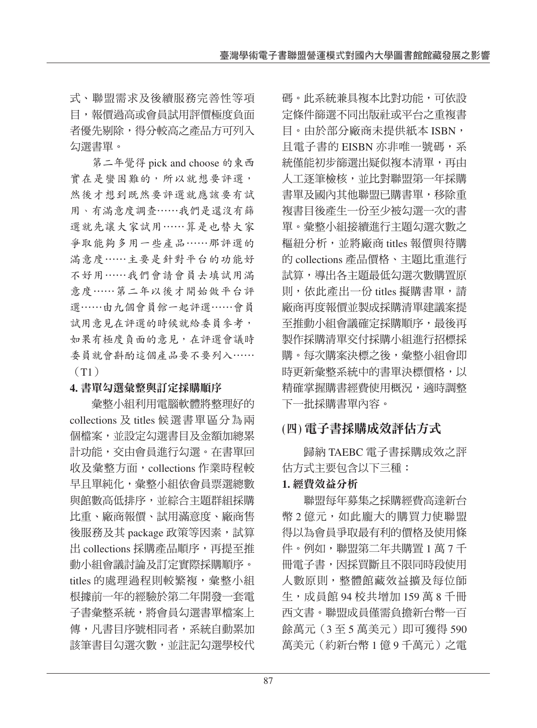式、聯盟需求及後續服務完善性等項 目,報價過高或會員試用評價極度負面 者優先剔除,得分較高之產品方可列入 勾選書單。

第二年覺得 pick and choose 的東西 實在是蠻困難的,所以就想要評選, 然後才想到既然要評選就應該要有試 用、有滿意度調查⋯⋯我們是還沒有篩 選就先讓大家試用⋯⋯算是也替大家 爭取能夠多用一些產品⋯⋯那評選的 滿意度⋯⋯主要是針對平台的功能好 不好用⋯⋯我們會請會員去填試用滿 意度⋯⋯第二年以後才開始做平台評 選⋯⋯由九個會員館一起評選⋯⋯會員 試用意見在評選的時候就給委員參考, 如果有極度負面的意見,在評選會議時 委員就會斟酌這個產品要不要列入⋯⋯ (T1)

#### **4.** 書單勾選彙整與訂定採購順序

彙整小組利用電腦軟體將整理好的 collections 及 titles 候選書單區分為兩 個檔案,並設定勾選書目及金額加總累 計功能,交由會員進行勾選。在書單回 收及彙整方面, collections 作業時程較 早且單純化,彙整小組依會員票選總數 與館數高低排序,並綜合主題群組採購 比重、廠商報價、試用滿意度、廠商售 後服務及其 package 政策等因素,試算 出 collections 採購產品順序,再提至推 動小組會議討論及訂定實際採購順序。 titles 的處理過程則較繁複,彙整小組 根據前一年的經驗於第二年開發一套電 子書彙整系統,將會員勾選書單檔案上 傳,凡書目序號相同者,系統自動累加 該筆書目勾選次數,並註記勾選學校代 碼。此系統兼具複本比對功能,可依設 定條件篩選不同出版社或平台之重複書 目。由於部分廠商未提供紙本 ISBN, 且電子書的 EISBN 亦非唯一號碼,系 統僅能初步篩選出疑似複本清單,再由 人工逐筆檢核,並比對聯盟第一年採購 書單及國內其他聯盟已購書單,移除重 複書目後產生一份至少被勾選一次的書 單。彙整小組接續進行主題勾選次數之 樞紐分析,並將廠商 titles 報價與待購 的 collections 產品價格、主題比重進行 試算,導出各主題最低勾選次數購置原 則,依此產出一份 titles 擬購書單,請 廠商再度報價並製成採購清單建議案提 至推動小組會議確定採購順序,最後再 製作採購清單交付採購小組進行招標採 購。每次購案決標之後,彙整小組會即 時更新彙整系統中的書單決標價格,以 精確掌握購書經費使用概況,適時調整 下一批採購書單內容。

# **(**四**)** 電子書採購成效評估方式

歸納 TAEBC 電子書採購成效之評 估方式主要包含以下三種:

#### **1.** 經費效益分析

聯盟每年募集之採購經費高達新台 幣 2 億元, 如此龐大的購買力使聯盟 得以為會員爭取最有利的價格及使用條 件。例如,聯盟第二年共購置 1 萬 7 千 冊電子書,因採買斷且不限同時段使用 人數原則,整體館藏效益擴及每位師 生,成員館 94 校共增加 159 萬 8 千冊 西文書。聯盟成員僅需負擔新台幣一百 餘萬元(3 至 5 萬美元)即可獲得 590 萬美元(約新台幣 1 億 9 千萬元)之電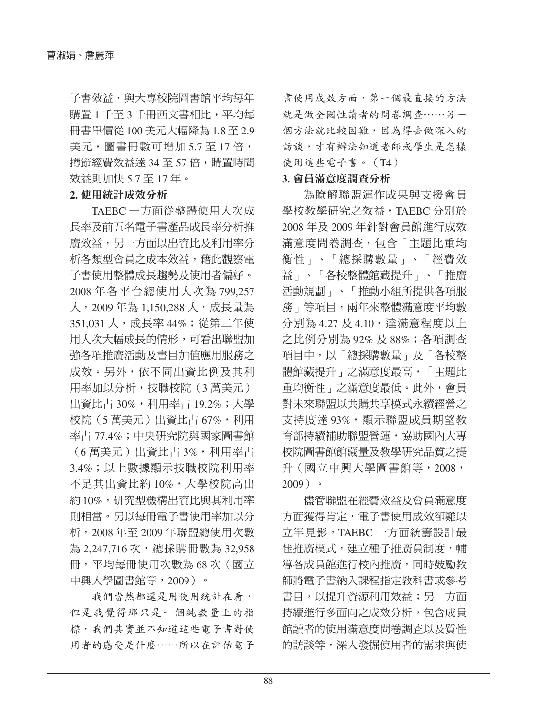子書效益,與大專校院圖書館平均每年 購置 1 千至 3 千冊西文書相比,平均每 冊書單價從 100 美元大幅降為 1.8 至 2.9 美元,圖書冊數可增加 5.7 至 17 倍, 撙節經費效益達 34 至 57 倍,購置時間 效益則加快 5.7 至 17 年。

#### **2.** 使用統計成效分析

TAEBC 一方面從整體使用人次成 長率及前五名電子書產品成長率分析推 廣效益,另一方面以出資比及利用率分 析各類型會員之成本效益,藉此觀察電 子書使用整體成長趨勢及使用者偏好。 2008 年各平台總使用人次為 799,257 人,2009 年為 1,150,288 人,成長量為 351.031 人, 成長率 44%; 從第二年使 用人次大幅成長的情形,可看出聯盟加 強各項推廣活動及書目加值應用服務之 成效。另外,依不同出資比例及其利 用率加以分析,技職校院(3 萬美元) 出資比占 30%,利用率占 19.2%;大學 校院(5萬美元)出資比占 67%,利用 率占 77.4%;中央研究院與國家圖書館 (6 萬美元)出資比占 3%,利用率占 3.4%;以上數據顯示技職校院利用率 不足其出資比約10%,大學校院高出 約10%,研究型機構出資比與其利用率 則相當。另以每冊電子書使用率加以分 析,2008 年至 2009 年聯盟總使用次數 為 2,247,716次,總採購冊數為 32,958 冊,平均每冊使用次數為 68 次(國立 中興大學圖書館等,2009)。

我們當然都還是用使用統計在看, 但是我覺得那只是一個純數量上的指 標,我們其實並不知道這些電子書對使 用者的感受是什麼⋯⋯所以在評估電子 書使用成效方面,第一個最直接的方法 就是做全國性讀者的問卷調查⋯⋯另一 個方法就比較困難,因為得去做深入的 訪談,才有辦法知道老師或學生是怎樣 使用這些電子書。(T4)

#### **3.** 會員滿意度調查分析

為瞭解聯盟運作成果與支援會員 學校教學研究之效益,TAEBC 分別於 2008 年及 2009 年針對會員館進行成效 滿意度問卷調查,包含「主題比重均 衡性」、「總採購數量」、「經費效 益」、「各校整體館藏提升」、「推廣 活動規劃」、「推動小組所提供各項服 務」等項目,兩年來整體滿意度平均數 分別為 4.27 及 4.10, 達滿意程度以上 之比例分別為 92% 及 88%;各項調查 項目中,以「總採購數量」及「各校整 體館藏提升」之滿意度最高,「主題比 重均衡性」之滿意度最低。此外,會員 對未來聯盟以共購共享模式永續經營之 支持度達 93%,顯示聯盟成員期望教 育部持續補助聯盟營運,協助國內大專 校院圖書館館藏量及教學研究品質之提 升(國立中興大學圖書館等,2008, 2009)。

儘管聯盟在經費效益及會員滿意度 方面獲得肯定,電子書使用成效卻難以 立竿見影。TAEBC 一方面統籌設計最 佳推廣模式,建立種子推廣員制度,輔 導各成員館進行校內推廣,同時鼓勵教 師將電子書納入課程指定教科書或參考 書目,以提升資源利用效益;另一方面 持續進行多面向之成效分析,包含成員 館讀者的使用滿意度問卷調查以及質性 的訪談等,深入發掘使用者的需求與使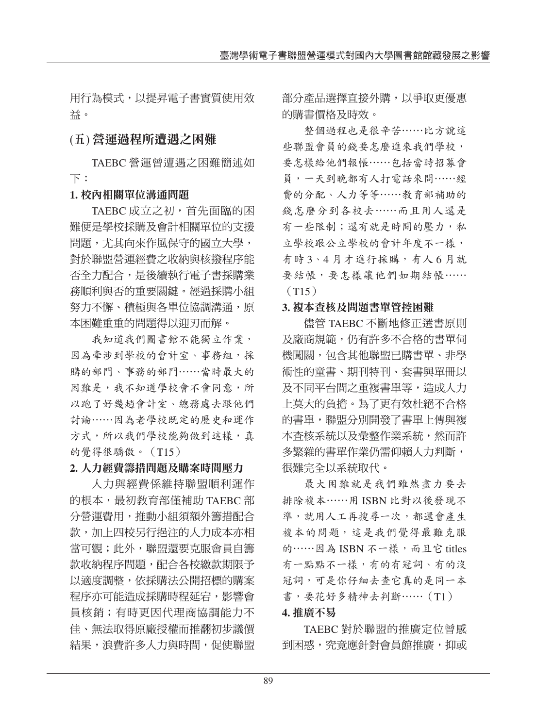用行為模式,以提昇電子書實質使用效 益。

#### **(**五**)** 營運過程所遭遇之困難

TAEBC 營運曾遭遇之困難簡述如 下:

#### **1.** 校內相關單位溝通問題

TAEBC 成立之初,首先面臨的困 難便是學校採購及會計相關單位的支援 問題,尤其向來作風保守的國立大學, 對於聯盟營運經費之收納與核撥程序能 否全力配合,是後續執行電子書採購業 務順利與否的重要關鍵。經過採購小組 努力不懈、積極與各單位協調溝通,原 本困難重重的問題得以迎刃而解。

我知道我們圖書館不能獨立作業, 因為牽涉到學校的會計室、事務組,採 購的部門、事務的部門⋯⋯當時最大的 困難是,我不知道學校會不會同意,所 以跑了好幾趟會計室、總務處去跟他們 討論⋯⋯因為老學校既定的歷史和運作 方式,所以我們學校能夠做到這樣,真 的覺得很驕傲。(T15)

#### **2.** 人力經費籌措問題及購案時間壓力

人力與經費係維持聯盟順利運作 的根本,最初教育部僅補助 TAEBC 部 分營運費用,推動小組須額外籌措配合 款,加上四校另行挹注的人力成本亦相 當可觀;此外,聯盟還要克服會員自籌 款收納程序問題,配合各校繳款期限予 以適度調整,依採購法公開招標的購案 程序亦可能造成採購時程延宕,影響會 員核銷;有時更因代理商協調能力不 佳、無法取得原廠授權而推翻初步議價 結果,浪費許多人力與時間,促使聯盟 部分產品選擇直接外購,以爭取更優惠 的購書價格及時效。

整個過程也是很辛苦⋯⋯比方說這 些聯盟會員的錢要怎麼進來我們學校, 要怎樣給他們報帳⋯⋯包括當時招募會 員,一天到晚都有人打電話來問⋯⋯經 費的分配、人力等等⋯⋯教育部補助的 錢怎麼分到各校去⋯⋯而且用人還是 有一些限制;還有就是時間的壓力,私 立學校跟公立學校的會計年度不一樣, 有時 3、4 月才進行採購,有人 6 月就 要結帳,要怎樣讓他們如期結帳……  $(T15)$ 

#### **3.** 複本查核及問題書單管控困難

儘管 TAEBC 不斷地修正選書原則 及廠商規範,仍有許多不合格的書單伺 機闖關,包含其他聯盟已購書單、非學 術性的童書、期刊特刊、套書與單冊以 及不同平台間之重複書單等,造成人力 上莫大的負擔。為了更有效杜絕不合格 的書單,聯盟分別開發了書單上傳與複 本杳核系統以及彙整作業系統,然而許 多繁雜的書單作業仍需仰賴人力判斷, 很難完全以系統取代。

最大困難就是我們雖然盡力要去 排除複本⋯⋯用 ISBN 比對以後發現不 準,就用人工再搜尋一次,都還會產生 複本的問題,這是我們覺得最難克服 的……因為 ISBN 不一樣,而且它 titles 有一點點不一樣,有的有冠詞、有的沒 冠詞,可是你仔細去查它真的是同一本 書, 要花好多精神去判斷……(T1) **4.** 推廣不易

TAEBC 對於聯盟的推廣定位曾感 到困惑,究竟應針對會員館推廣,抑或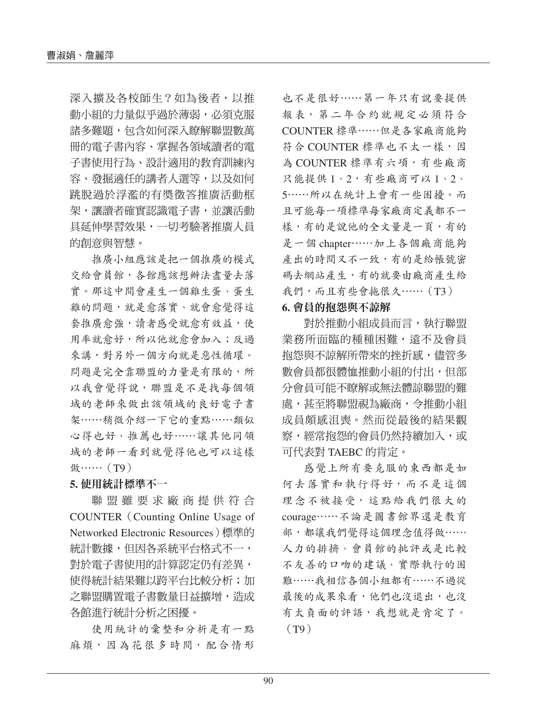深入擴及各校師生?如為後者,以推 動小組的力量似乎過於薄弱,必須克服 諸多難題,包含如何深入瞭解聯盟數萬 冊的電子書內容、掌握各領域讀者的電 子書使用行為、設計適用的教育訓練內 容、發掘適任的講者人選等,以及如何 跳脫過於浮濫的有獎徵答推廣活動框 架,讓讀者確實認識電子書,並讓活動 具延伸學習效果,一切考驗著推廣人員 的創意與智慧。

推廣小組應該是把一個推廣的模式 交給會員館,各館應該想辦法盡量去落 實。那這中間會產生一個雞生蛋、蛋生 雞的問題,就是愈落實、就會愈覺得這 套推廣愈強,讀者感受就愈有效益,使 用率就愈好,所以他就愈會加入;反過 來講,對另外一個方向就是惡性循環。 問題是完全靠聯盟的力量是有限的,所 以我會覺得說,聯盟是不是找每個領 域的老師來做出該領域的良好電子書 架⋯⋯稍微介紹一下它的重點⋯⋯類似 心得也好、推薦也好⋯⋯讓其他同領 域的老師一看到就覺得他也可以這樣 **做……**(T9)

#### **5.** 使用統計標準不一

聯盟雖要求廠商提供符合 COUNTER(Counting Online Usage of Networked Electronic Resources)標準的 統計數據,但因各系統平台格式不一, 對於電子書使用的計算認定仍有差異, 使得統計結果難以跨平台比較分析;加 之聯盟購置電子書數量日益擴增,造成 各館進行統計分析之困擾。

使用統計的彙整和分析是有一點 麻煩,因為花很多時間,配合情形

也不是很好⋯⋯第一年只有說要提供 報表,第二年合約就規定必須符合 COUNTER 標準⋯⋯但是各家廠商能夠 符合 COUNTER 標準也不太一樣,因 為 COUNTER 標準有六項,有些廠商 只能提供 1、2,有些廠商可以 1、2、 5⋯⋯所以在統計上會有一些困擾。而 且可能每一項標準每家廠商定義都不一 樣,有的是說他的全文量是一頁,有的 是一個 chapter⋯⋯加上各個廠商能夠 產出的時間又不一致,有的是給帳號密 碼去網站產生,有的就要由廠商產生給 我們,而且有些會拖很久……(T3)

#### **6.** 會員的抱怨與不諒解

對於推動小組成員而言,執行聯盟 業務所面臨的種種困難,遠不及會員 抱怨與不諒解所帶來的挫折感,儘管多 數會員都很體恤推動小組的付出,但部 分會員可能不瞭解或無法體諒聯盟的難 處,甚至將聯盟視為廠商,令推動小組 成員頗感沮喪。然而從最後的結果觀 察,經常抱怨的會員仍然持續加入,或 可代表對 TAEBC 的肯定。

感覺上所有要克服的東西都是如 何去落實和執行得好,而不是這個 理念不被接受,這點給我們很大的 courage⋯⋯不論是圖書館界還是教育 部,都讓我們覺得這個理念值得做…… 人力的排擠、會員館的批評或是比較 不友善的口吻的建議、實際執行的困 難⋯⋯我相信各個小組都有⋯⋯不過從 最後的成果來看,他們也沒退出,也沒 有太負面的評語,我想就是肯定了。 (T9)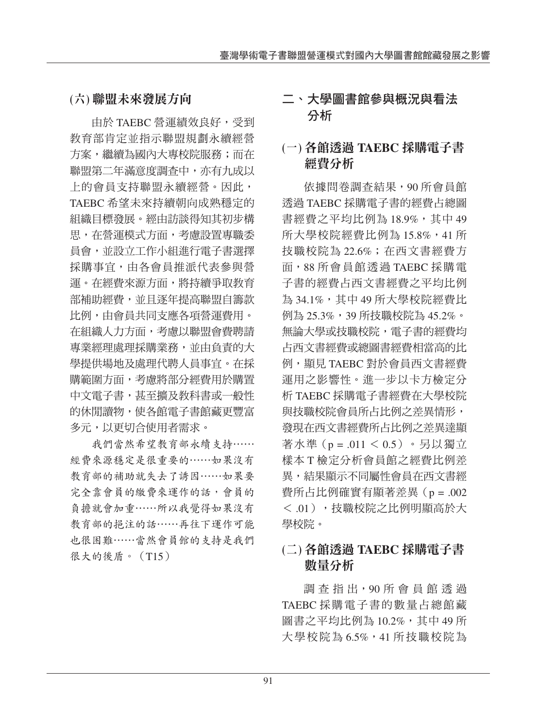# **(**六**)** 聯盟未來發展方向

由於 TAEBC 營運績效良好, 受到 教育部肯定並指示聯盟規劃永續經營 方案,繼續為國內大專校院服務;而在 聯盟第二年滿意度調查中,亦有九成以 上的會員支持聯盟永續經營。因此, TAEBC 希望未來持續朝向成熟穩定的 組織目標發展。經由訪談得知其初步構 思,在營運模式方面,考慮設置專職委 員會,並設立工作小組進行電子書選擇 採購事宜,由各會員推派代表參與營 運。在經費來源方面,將持續爭取教育 部補助經費,並且逐年提高聯盟自籌款 比例,由會員共同支應各項營運費用。 在組織人力方面,考慮以聯盟會費聘請 專業經理處理採購業務,並由負責的大 學提供場地及處理代聘人員事宜。在採 購範圍方面,考慮將部分經費用於購置 中文電子書,甚至擴及教科書或一般性 的休閒讀物,使各館電子書館藏更豐富 多元,以更切合使用者需求。

我們當然希望教育部永續支持⋯⋯ 經費來源穩定是很重要的⋯⋯如果沒有 教育部的補助就失去了誘因⋯⋯如果要 完全靠會員的繳費來運作的話,會員的 負擔就會加重⋯⋯所以我覺得如果沒有 教育部的挹注的話⋯⋯再往下運作可能 也很困難⋯⋯當然會員館的支持是我們 很大的後盾。(T15)

### 二、大學圖書館參與概況與看法 分析

# **(**一**)** 各館透過 **TAEBC** 採購電子書 經費分析

依據問卷調查結果,90 所會員館 透過 TAEBC 採購電子書的經費占總圖 書經費之平均比例為 18.9%,其中 49 所大學校院經費比例為 15.8%,41 所 技職校院為 22.6%;在西文書經費方 面,88 所會員館透過 TAEBC 採購電 子書的經費占西文書經費之平均比例 為 34.1%,其中 49 所大學校院經費比 例為 25.3%, 39 所技職校院為 45.2%。 無論大學或技職校院,雷子書的經費均 占西文書經費或總圖書經費相當高的比 例,顯見 TAEBC 對於會員西文書經費 運用之影響性。進一步以卡方檢定分 析 TAEBC 採購電子書經費在大學校院 與技職校院會員所占比例之差異情形, 發現在西文書經費所占比例之差異達顯 著水準(p = .011 < 0.5)。另以獨立 樣本 T 檢定分析會員館之經費比例差 異,結果顯示不同屬性會員在西文書經 費所占比例確實有顯著差異(p = .002 < .01),技職校院之比例明顯高於大 學校院。

### **(**二**)** 各館透過 **TAEBC** 採購電子書 數量分析

調 杳 指 出,90 所 會 員 館 透 過 TAEBC 採購電子書的數量占總館藏 圖書之平均比例為 10.2%,其中 49 所 大學校院為 6.5%,41 所技職校院為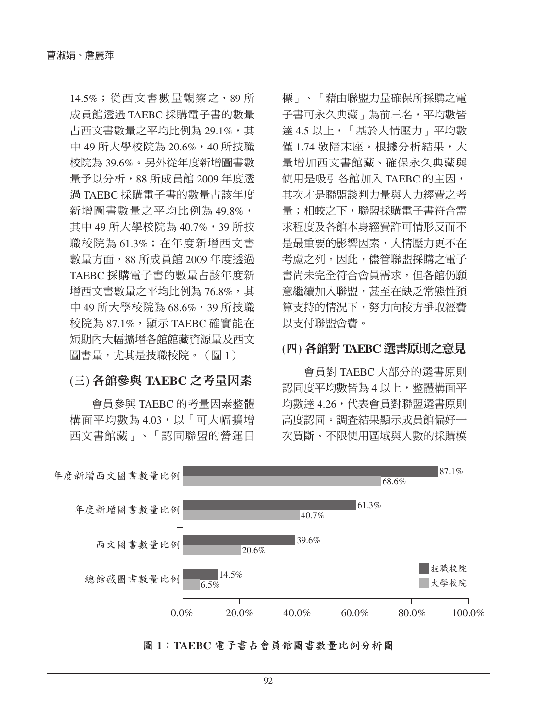14.5%;從西文書數量觀察之,89 所 成員館透過 TAEBC 採購電子書的數量 占西文書數量之平均比例為 29.1%,其 中 49 所大學校院為 20.6%,40 所技職 校院為 39.6%。另外從年度新增圖書數 量予以分析,88 所成員館 2009 年度透 過 TAEBC 採購電子書的數量占該年度 新增圖書數量之平均比例為 49.8%, 其中 49 所大學校院為 40.7%,39 所技 職校院為 61.3%; 在年度新增西文書 數量方面,88 所成員館 2009 年度透過 TAEBC 採購電子書的數量占該年度新 增西文書數量之平均比例為 76.8%,其 中 49 所大學校院為 68.6%, 39 所技職 校院為 87.1%,屬示 TAEBC 確實能在 短期內大幅擴增各館館藏資源量及西文 圖書量,尤其是技職校院。(圖 1)

#### **(**三**)** 各館參與 **TAEBC** 之考量因素

會員參與 TAEBC 的考量因素整體 構面平均數為 4.03,以「可大幅擴增 西文書館藏」、「認同聯盟的營運目

標」、「藉由聯盟力量確保所採購之電 子書可永久典藏」為前三名,平均數皆 達 4.5 以上,「基於人情壓力」平均數 僅 1.74 敬陪末座。根據分析結果,大 量增加西文書館藏、確保永久典藏與 使用是吸引各館加入 TAEBC 的主因, 其次才是聯盟談判力量與人力經費之考 量;相較之下,聯盟採購電子書符合需 求程度及各館本身經費許可情形反而不 是最重要的影響因素,人情壓力更不在 考慮之列。因此,儘管聯盟採購之電子 書尚未完全符合會員需求,但各館仍願 意繼續加入聯盟,甚至在缺乏常態性預 算支持的情況下,努力向校方爭取經費 以支付聯盟會費。

#### **(**四**)** 各館對 **TAEBC** 選書原則之意見

會員對 TAEBC 大部分的選書原則 認同度平均數皆為 4 以上,整體構面平 均數達 4.26,代表會員對聯盟選書原則 高度認同。調查結果顯示成員館偏好一 次買斷、不限使用區域與人數的採購模



<sup>圖</sup> **1**:**TAEBC** 電子書占會員館圖書數量比例分析圖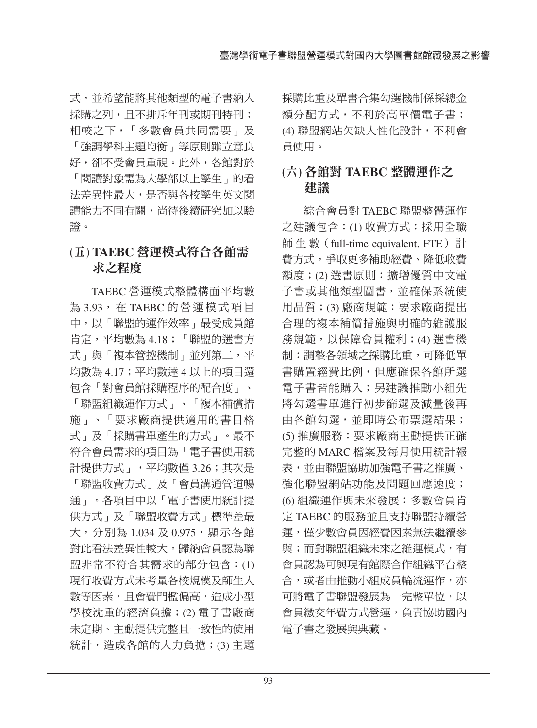式,並希望能將其他類型的電子書納入 採購之列,日不排斥年刊或期刊特刊; 相較之下,「多數會員共同需要」及 「強調學科主題均衡」等原則雖立意良 好,卻不受會員重視。此外,各館對於 「閱讀對象需為大學部以上學生」的看 法差異性最大,是否與各校學生英文閱 讀能力不同有關,尚待後續研究加以驗 證。

# **(**五**) TAEBC** 營運模式符合各館需 求之程度

TAEBC 營運模式整體構面平均數 為 3.93, 在 TAEBC 的營運模式項目 中,以「聯盟的運作效率」最受成員館 肯定,平均數為 4.18;「聯盟的選書方 式」與「複本管控機制」並列第二,平 均數為 4.17;平均數達 4 以上的項目還 包含「對會員館採購程序的配合度」、 「聯盟組織運作方式」、「複本補償措 施」、「要求廠商提供適用的書目格 式」及「採購書單產生的方式」。最不 符合會員需求的項目為「電子書使用統 計提供方式」,平均數僅 3.26;其次是 「聯盟收費方式」及「會員溝通管道暢 通」。各項目中以「電子書使用統計提 供方式」及「聯盟收費方式」標準差最 大,分別為 1.034 及 0.975, 顯示各館 對此看法差異性較大。歸納會員認為聯 盟非常不符合其需求的部分包含:(1) 現行收費方式未考量各校規模及師生人 數等因素,且會費門檻偏高,造成小型 學校沈重的經濟負擔;(2) 電子書廠商 未定期、主動提供完整且一致性的使用 統計,造成各館的人力負擔;(3) 主題 採購比重及單書合集勾選機制係採總金 額分配方式,不利於高單價電子書; (4) 聯盟網站欠缺人性化設計,不利會 員使用。

### **(**六**)** 各館對 **TAEBC** 整體運作之 建議

綜合會員對 TAEBC 聯盟整體運作 之建議包含:(1) 收費方式:採用全職 師 生 數(full-time equivalent, FTE) 計 費方式,爭取更多補助經費、降低收費 額度;(2) 選書原則:擴增優質中文電 子書或其他類型圖書,並確保系統使 用品質;(3) 廠商規範:要求廠商提出 合理的複本補償措施與明確的維護服 務規範,以保障會員權利;(4) 選書機 制:調整各領域之採購比重,可降低單 書購置經費比例,但應確保各館所選 電子書皆能購入;另建議推動小組先 將勾選書單進行初步篩選及減量後再 由各館勾選,並即時公布票選結果; (5) 推廣服務:要求廠商主動提供正確 完整的 MARC 檔案及每月使用統計報 表,並由聯盟協助加強電子書之推廣、 強化聯盟網站功能及問題回應速度; (6) 組織運作與未來發展:多數會員肯 定 TAEBC 的服務並且支持聯盟持續營 運,僅少數會員因經費因素無法繼續參 與;而對聯盟組織未來之維運模式,有 會員認為可與現有館際合作組織平台整 合,或者由推動小組成員輪流運作,亦 可將電子書聯盟發展為一完整單位,以 會員繳交年費方式營運,負責協助國內 電子書之發展與典藏。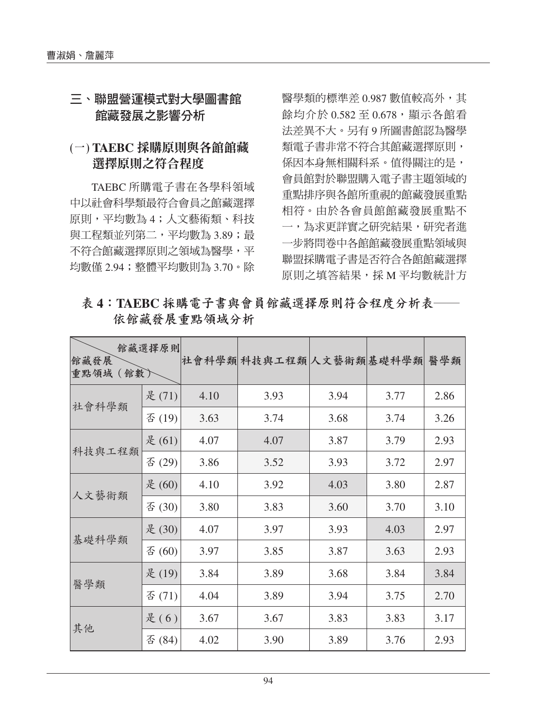#### 三、聯盟營運模式對大學圖書館 館藏發展之影響分析

### **(**一**) TAEBC** 採購原則與各館館藏 選擇原則之符合程度

TAEBC 所購電子書在各學科領域 中以社會科學類最符合會員之館藏選擇 原則,平均數為 4;人文藝術類、科技 與工程類並列第二,平均數為 3.89;最 不符合館藏選擇原則之領域為醫學,平 均數僅 2.94;整體平均數則為 3.70。除

醫學類的標準差 0.987 數值較高外,其 餘均介於 0.582 至 0.678,顯示各館看 法差異不大。另有 9 所圖書館認為醫學 類電子書非常不符合其館藏選擇原則, 係因本身無相關科系。值得關注的是, 會員館對於聯盟購入電子書主題領域的 重點排序與各館所重視的館藏發展重點 相符。由於各會員館館藏發展重點不 一,為求更詳實之研究結果,研究者進 一步將問卷中各館館藏發展重點領域與 聯盟採購電子書是否符合各館館藏選擇 原則之填答結果,採 M 平均數統計方

#### 表 4: TAEBC 採購電子書與會員館藏選擇原則符合程度分析表 依館藏發展重點領域分析

| 館藏發展<br>重點領域 (館數) | 館藏選擇原則 |      | 社會科學類科技與工程類人文藝術類基礎科學類 |      |      | 醫學類  |
|-------------------|--------|------|-----------------------|------|------|------|
| 社會科學類             | 是(71)  | 4.10 | 3.93                  | 3.94 | 3.77 | 2.86 |
|                   | 否(19)  | 3.63 | 3.74                  | 3.68 | 3.74 | 3.26 |
|                   | 是(61)  | 4.07 | 4.07                  | 3.87 | 3.79 | 2.93 |
| 科技與工程類            | 否(29)  | 3.86 | 3.52                  | 3.93 | 3.72 | 2.97 |
|                   | 是(60)  | 4.10 | 3.92                  | 4.03 | 3.80 | 2.87 |
| 人文藝術類             | 否 (30) | 3.80 | 3.83                  | 3.60 | 3.70 | 3.10 |
| 基礎科學類             | 是(30)  | 4.07 | 3.97                  | 3.93 | 4.03 | 2.97 |
|                   | 否 (60) | 3.97 | 3.85                  | 3.87 | 3.63 | 2.93 |
|                   | 是(19)  | 3.84 | 3.89                  | 3.68 | 3.84 | 3.84 |
| 醫學類               | 否(71)  | 4.04 | 3.89                  | 3.94 | 3.75 | 2.70 |
|                   | 是(6)   | 3.67 | 3.67                  | 3.83 | 3.83 | 3.17 |
| 其他                | 否 (84) | 4.02 | 3.90                  | 3.89 | 3.76 | 2.93 |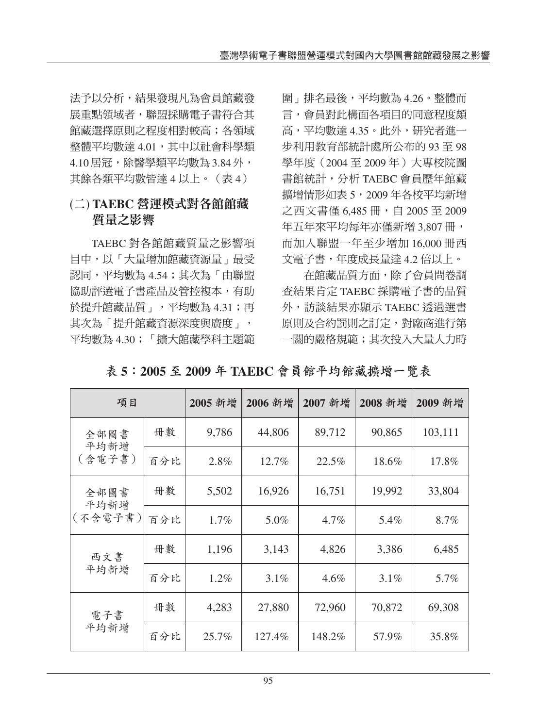法予以分析,結果發現凡為會員館藏發 展重點領域者,聯盟採購電子書符合其 館藏選擇原則之程度相對較高;各領域 整體平均數達 4.01,其中以社會科學類 4.10 居冠,除醫學類平均數為 3.84 外, 其餘各類平均數皆達 4 以上。(表 4)

### **(**二**) TAEBC** 營運模式對各館館藏 質量之影響

TAEBC 對各館館藏質量之影響項 目中,以「大量增加館藏資源量」最受 認同,平均數為 4.54;其次為「由聯盟 協助評選電子書產品及管控複本,有助 於提升館藏品質」,平均數為 4.31;再 其次為「提升館藏資源深度與廣度」, 平均數為 4.30;「擴大館藏學科主題範 圍」排名最後,平均數為 4.26。整體而 言,會員對此構面各項目的同意程度頗 高,平均數達 4.35。此外,研究者進一 步利用教育部統計處所公布的 93 至 98 學年度(2004 至 2009 年)大專校院圖 書館統計,分析 TAEBC 會員歷年館藏 擴增情形如表 5,2009 年各校平均新增 之西文書僅 6,485 冊,自 2005 至 2009 年五年來平均每年亦僅新增 3,807 冊, 而加入聯盟一年至少增加 16,000 冊西 文電子書,年度成長量達 4.2 倍以上。

在館藏品質方面,除了會員問卷調 查結果肯定 TAEBC 採購電子書的品質 外,訪談結果亦顯示 TAEBC 透過選書 原則及合約罰則之訂定,對廠商進行第 一關的嚴格規範;其次投入大量人力時

| 項目              |     | 2005 新增 | 2006 新增 | 2007 新增 | 2008 新增 | 2009 新增 |
|-----------------|-----|---------|---------|---------|---------|---------|
| 全部圖書<br>平均新增    | 冊數  | 9,786   | 44,806  | 89,712  | 90,865  | 103,111 |
| (含電子書)          | 百分比 | 2.8%    | 12.7%   | 22.5%   | 18.6%   | 17.8%   |
| 全部圖書            | 冊數  | 5,502   | 16,926  | 16,751  | 19,992  | 33,804  |
| 平均新增<br>(不含電子書) | 百分比 | 1.7%    | 5.0%    | 4.7%    | 5.4%    | 8.7%    |
| 西文書             | 冊數  | 1,196   | 3,143   | 4,826   | 3,386   | 6,485   |
| 平均新增            | 百分比 | 1.2%    | 3.1%    | 4.6%    | 3.1%    | 5.7%    |
| 電子書             | 冊數  | 4,283   | 27,880  | 72,960  | 70,872  | 69,308  |
| 平均新增            | 百分比 | 25.7%   | 127.4%  | 148.2%  | 57.9%   | 35.8%   |

<sup>表</sup> **5**:**2005** <sup>至</sup> **2009** <sup>年</sup> **TAEBC** 會員館平均館藏擴增一覽表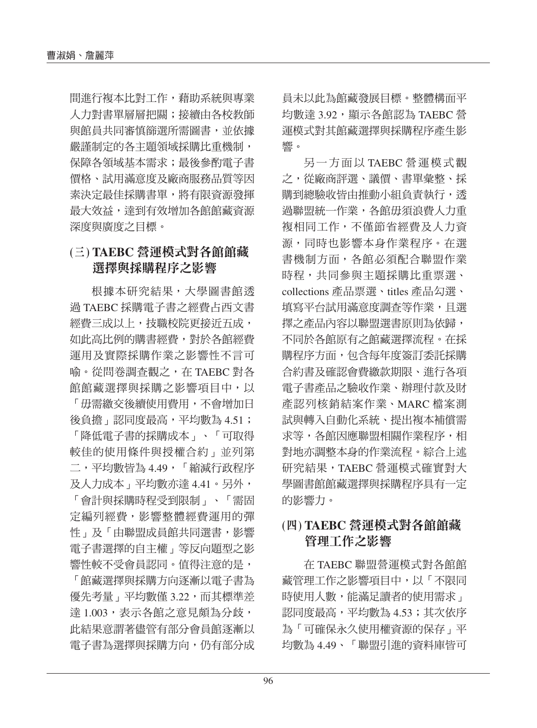間進行複本比對工作,藉助系統與專業 人力對書單層層把關;接續由各校教師 與館員共同審慎篩選所需圖書,並依據 嚴謹制定的各主題領域採購比重機制, 保障各領域基本需求;最後參酌電子書 價格、試用滿意度及廠商服務品質等因 素決定最佳採購書單,將有限資源發揮 最大效益,達到有效增加各館館藏資源 深度與廣度之目標。

### **(**三**) TAEBC** 營運模式對各館館藏 選擇與採購程序之影響

根據本研究結果,大學圖書館透 過 TAEBC 採購電子書之經費占西文書 經費三成以上,技職校院更接近五成, 如此高比例的購書經費,對於各館經費 運用及實際採購作業之影響性不言可 喻。從問卷調查觀之,在 TAEBC 對各 館館藏選擇與採購之影響項目中,以 「毋需繳交後續使用費用,不會增加日 後負擔」認同度最高,平均數為 4.51; 「降低電子書的採購成本」、「可取得 較佳的使用條件與授權合約」並列第 二,平均數皆為 4.49,「縮減行政程序 及人力成本」平均數亦達 4.41。另外, 「會計與採購時程受到限制」、「需固 定編列經費,影響整體經費運用的彈 性」及「由聯盟成員館共同選書,影響 電子書選擇的自主權」等反向題型之影 響性較不受會員認同。值得注意的是,

「館藏選擇與採購方向逐漸以電子書為 優先考量」平均數僅 3.22,而其標準差 達 1.003,表示各館之意見頗為分歧, 此結果意謂著儘管有部分會員館逐漸以 電子書為選擇與採購方向,仍有部分成

員未以此為館藏發展目標。整體構面平 均數達 3.92,顯示各館認為 TAEBC 營 運模式對其館藏選擇與採購程序產生影 響。

另一方面以 TAEBC 營運模式觀 之,從廠商評選、議價、書單彙整、採 購到總驗收皆由推動小組負責執行,透 過聯盟統一作業,各館毋須浪費人力重 複相同工作,不僅節省經費及人力資 源,同時也影響本身作業程序。在選 書機制方面,各館必須配合聯盟作業 時程,共同參與主題採購比重票選、 collections 產品票選、titles 產品勾選、 填寫平台試用滿意度調杳等作業,日選 擇之產品內容以聯盟選書原則為依歸, 不同於各館原有之館藏選擇流程。在採 購程序方面,包含每年度簽訂委託採購 合約書及確認會費繳款期限、進行各項 電子書產品之驗收作業、辦理付款及財 產認列核銷結案作業、MARC 檔案測 試與轉入自動化系統、提出複本補償需 求等,各館因應聯盟相關作業程序,相 對地亦調整本身的作業流程。綜合上述 研究結果,TAEBC 營運模式確實對大 學圖書館館藏選擇與採購程序具有一定 的影響力。

### **(**四**) TAEBC** 營運模式對各館館藏 管理工作之影響

在 TAEBC 聯盟營運模式對各館館 藏管理工作之影響項目中,以「不限同 時使用人數,能滿足讀者的使用需求」 認同度最高,平均數為 4.53;其次依序 為「可確保永久使用權資源的保存」平 均數為 4.49、「聯盟引進的資料庫皆可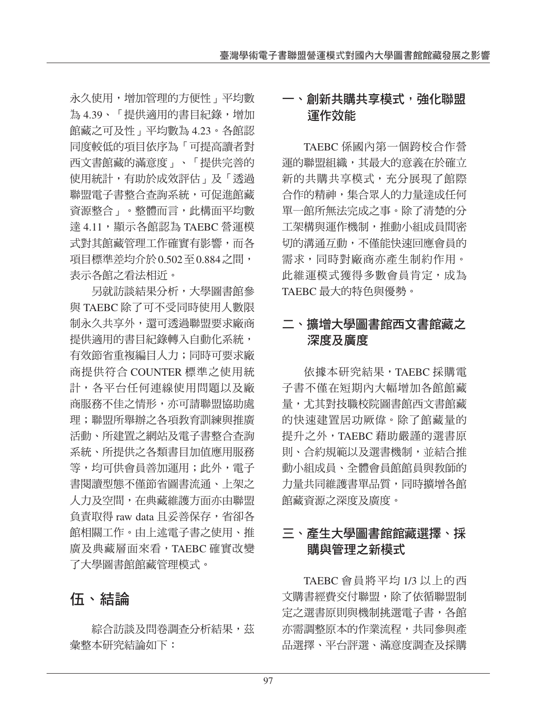永久使用,增加管理的方便性」平均數 為 4.39、「提供適用的書目紀錄,增加 館藏之可及性」平均數為 4.23。各館認 同度較低的項目依序為「可提高讀者對 西文書館藏的滿意度」、「提供完善的 使用統計,有助於成效評估」及「透過 聯盟電子書整合查詢系統,可促進館藏 資源整合」。整體而言,此構面平均數 達 4.11,屬示各館認為 TAEBC 營運模 式對其館藏管理工作確實有影響,而各 項目標準差均介於0.502至0.884之間, 表示各館之看法相近。

另就訪談結果分析,大學圖書館參 與 TAEBC 除了可不受同時使用人數限 制永久共享外,還可透過聯盟要求廠商 提供適用的書目紀錄轉入自動化系統, 有效節省重複編目人力;同時可要求廠 商提供符合 COUNTER 標準之使用統 計,各平台任何連線使用問題以及廠 商服務不佳之情形,亦可請聯盟協助處 理;聯盟所舉辦之各項教育訓練與推廣 活動、所建置之網站及電子書整合查詢 系統、所提供之各類書目加值應用服務 等,均可供會員善加運用;此外,電子 書閱讀型態不僅節省圖書流通、上架之 人力及空間,在典藏維護方面亦由聯盟 負責取得 raw data 且妥善保存,省卻各 館相關工作。由上述電子書之使用、推 廣及典藏層面來看,TAEBC 確實改變 了大學圖書館館藏管理模式。

# 伍、結論

綜合訪談及問卷調查分析結果,茲 彙整本研究結論如下:

### 一、創新共購共享模式,強化聯盟 運作效能

TAEBC 係國內第一個跨校合作營 運的聯盟組織,其最大的意義在於確立 新的共購共享模式,充分展現了館際 合作的精神,集合眾人的力量達成任何 單一館所無法完成之事。除了清楚的分 工架構與運作機制,推動小組成員間密 切的溝通互動,不僅能快速回應會員的 需求,同時對廠商亦產生制約作用。 此維運模式獲得多數會員肯定,成為 TAEBC 最大的特色與優勢。

### 二、擴增大學圖書館西文書館藏之 深度及廣度

依據本研究結果,TAEBC 採購電 子書不僅在短期內大幅增加各館館藏 量,尤其對技職校院圖書館西文書館藏 的快速建置居功厥偉。除了館藏量的 提升之外,TAEBC 藉助嚴謹的選書原 則、合約規範以及選書機制,並結合推 動小組成員、全體會員館館員與教師的 力量共同維護書單品質,同時擴增各館 館藏資源之深度及廣度。

# 三、產生大學圖書館館藏選擇、採 購與管理之新模式

TAEBC 會員將平均 1/3 以上的西 文購書經費交付聯盟,除了依循聯盟制 定之選書原則與機制挑選電子書,各館 亦需調整原本的作業流程,共同參與產 品選擇、平台評選、滿意度調查及採購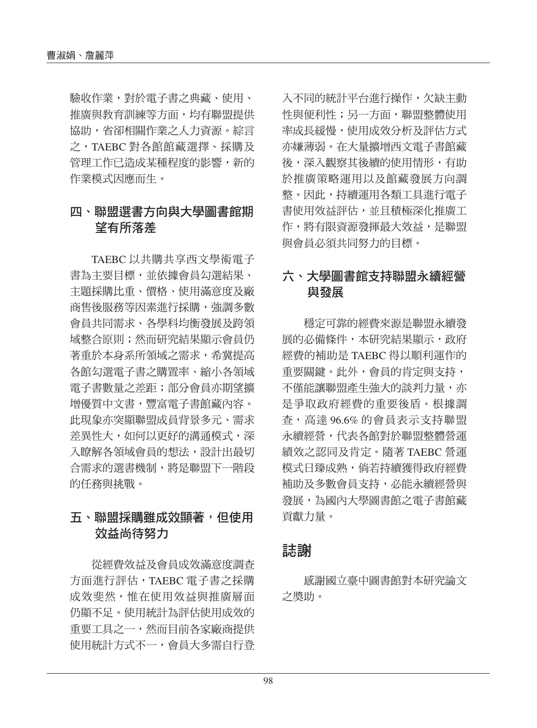驗收作業,對於電子書之典藏、使用、 推廣與教育訓練等方面,均有聯盟提供 協助,省卻相關作業之人力資源。綜言 之,TAEBC 對各館館藏選擇、採購及 管理工作已造成某種程度的影響,新的 作業模式因應而生。

#### 四、聯盟選書方向與大學圖書館期 望有所落差

TAEBC 以共購共享西文學術電子 書為主要目標,並依據會員勾選結果、 主題採購比重、價格、使用滿意度及廠 商售後服務等因素進行採購,強調多數 會員共同需求、各學科均衡發展及跨領 域整合原則;然而研究結果顯示會員仍 著重於本身系所領域之需求,希冀提高 各館勾選電子書之購置率、縮小各領域 電子書數量之差距;部分會員亦期望擴 增優質中文書,豐富電子書館藏內容。 此現象亦突顯聯盟成員背景多元、需求 差異性大,如何以更好的溝通模式,深 入瞭解各領域會員的想法,設計出最切 合需求的選書機制,將是聯盟下一階段 的任務與挑戰。

### 五、聯盟採購雖成效顯著,但使用 效益尚待努力

從經費效益及會員成效滿意度調查 方面進行評估,TAEBC 電子書之採購 成效斐然,惟在使用效益與推廣層面 仍顯不足。使用統計為評估使用成效的 重要工具之一,然而目前各家廠商提供 使用統計方式不一,會員大多需自行登 入不同的統計平台進行操作,欠缺主動 性與便利性;另一方面,聯盟整體使用 率成長緩慢,使用成效分析及評估方式 亦嫌薄弱。在大量擴增西文電子書館藏 後,深入觀察其後續的使用情形,有助 於推廣策略運用以及館藏發展方向調 整。因此,持續運用各類工具進行電子 書使用效益評估,並且積極深化推廣工 作,將有限資源發揮最大效益,是聯盟 與會員必須共同努力的目標。

### 六、大學圖書館支持聯盟永續經營 與發展

穩定可靠的經費來源是聯盟永續發 展的必備條件,本研究結果顯示,政府 經費的補助是 TAEBC 得以順利運作的 重要關鍵。此外,會員的肯定與支持, 不僅能讓聯盟產生強大的談判力量,亦 是爭取政府經費的重要後盾。根據調 查,高達 96.6% 的會員表示支持聯盟 永續經營,代表各館對於聯盟整體營運 績效之認同及肯定。隨著 TAEBC 營運 模式日臻成熟,倘若持續獲得政府經費 補助及多數會員支持,必能永續經營與 發展,為國內大學圖書館之電子書館藏 貢獻力量。

### 誌謝

感謝國立臺中圖書館對本研究論文 之獎助。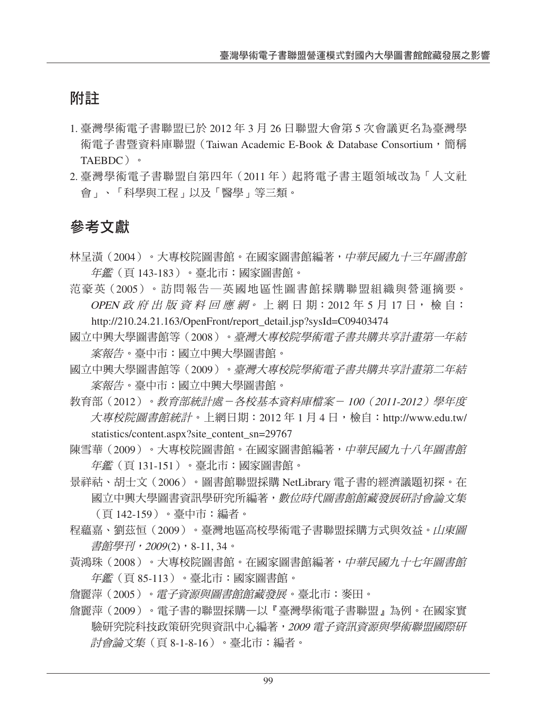# 附註

- 1. 臺灣學術電子書聯盟已於 2012 年 3 月 26 日聯盟大會第 5 次會議更名為臺灣學 術電子書暨資料庫聯盟 (Taiwan Academic E-Book & Database Consortium,簡稱 TAEBDC)。
- 2. 臺灣學術電子書聯盟自第四年(2011 年)起將電子書主題領域改為「人文社 會」、「科學與工程」以及「醫學」等三類。

# 參考文獻

- 林呈潢(2004)。大專校院圖書館。在國家圖書館編著,*中華民國九十三年圖書館* 年鑑(頁 143-183)。臺北市:國家圖書館。
- 范豪英(2005)。訪問報告─英國地區性圖書館採購聯盟組織與營運摘要。 OPEN 政 府 出 版 資 料 回 應 網。 上 網 日 期: 2012 年 5 月 17 日, 檢 自: http://210.24.21.163/OpenFront/report\_detail.jsp?sysId=C09403474
- 國立中興大學圖書館等(2008)。臺灣大專校院學術電子書共購共享計畫第一年結 案報告。臺中市:國立中興大學圖書館。
- 國立中興大學圖書館等(2009)。臺灣大專校院學術電子書共購共享計畫第二年結 案報告。臺中市:國立中興大學圖書館。
- 教育部(2012)。教育部統計處-各校基本資料庫檔案- <sup>100</sup>(2011-2012)學年度 大專校院圖書館統計。上網日期: 2012年1月4日,檢自: http://www.edu.tw/ statistics/content.aspx?site\_content\_sn=29767
- 陳雪華(2009)。大專校院圖書館。在國家圖書館編著,*中華民國九十八年圖書館* 年鑑(頁 131-151)。臺北市:國家圖書館。
- 景祥祜、胡士文(2006)。圖書館聯盟採購 NetLibrary 電子書的經濟議題初探。在 國立中興大學圖書資訊學研究所編著,*數位時代圖書館館藏發展研討會論文集* (頁 142-159)。臺中市:編者。
- 程蘊嘉、劉茲恒(2009)。臺灣地區高校學術電子書聯盟採購方式與效益。山東圖 書館學刊,2009(2), 8-11, 34。
- 黃鴻珠(2008)。大專校院圖書館。在國家圖書館編著,*中華民國九十七年圖書館* 年鑑(頁 85-113)。臺北市:國家圖書館。
- 詹麗萍(2005)。電子資源與圖書館館藏發展。臺北市:麥田。
- 詹麗萍(2009)。電子書的聯盟採購—以『臺灣學術電子書聯盟』為例。在國家實 驗研究院科技政策研究與資訊中心編著,<sup>2009</sup> 電子資訊資源與學術聯盟國際研 討會論文集(頁 8-1-8-16)。臺北市:編者。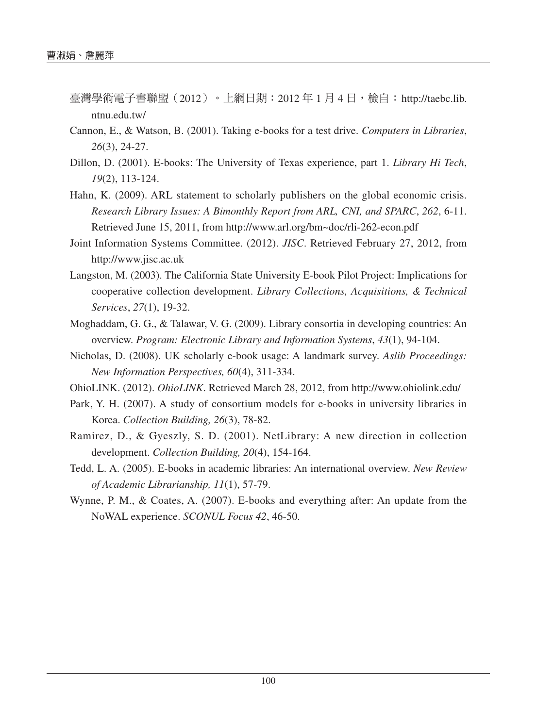- 臺灣學術電子書聯盟 (2012) 。上網日期: 2012 年 1 月 4 日,檢自: http://taebc.lib. ntnu.edu.tw/
- Cannon, E., & Watson, B. (2001). Taking e-books for a test drive. *Computers in Libraries*, *26*(3), 24-27.
- Dillon, D. (2001). E-books: The University of Texas experience, part 1. *Library Hi Tech*, *19*(2), 113-124.
- Hahn, K. (2009). ARL statement to scholarly publishers on the global economic crisis. *Research Library Issues: A Bimonthly Report from ARL, CNI, and SPARC*, *262*, 6-11. Retrieved June 15, 2011, from http://www.arl.org/bm~doc/rli-262-econ.pdf
- Joint Information Systems Committee. (2012). *JISC*. Retrieved February 27, 2012, from http://www.jisc.ac.uk
- Langston, M. (2003). The California State University E-book Pilot Project: Implications for cooperative collection development. *Library Collections, Acquisitions, & Technical Services*, *27*(1), 19-32.
- Moghaddam, G. G., & Talawar, V. G. (2009). Library consortia in developing countries: An overview. *Program: Electronic Library and Information Systems*, *43*(1), 94-104.
- Nicholas, D. (2008). UK scholarly e-book usage: A landmark survey. *Aslib Proceedings: New Information Perspectives, 60*(4), 311-334.
- OhioLINK. (2012). *OhioLINK*. Retrieved March 28, 2012, from http://www.ohiolink.edu/
- Park, Y. H. (2007). A study of consortium models for e-books in university libraries in Korea. *Collection Building, 26*(3), 78-82.
- Ramirez, D., & Gyeszly, S. D. (2001). NetLibrary: A new direction in collection development. *Collection Building, 20*(4), 154-164.
- Tedd, L. A. (2005). E-books in academic libraries: An international overview. *New Review of Academic Librarianship, 11*(1), 57-79.
- Wynne, P. M., & Coates, A. (2007). E-books and everything after: An update from the NoWAL experience. *SCONUL Focus 42*, 46-50.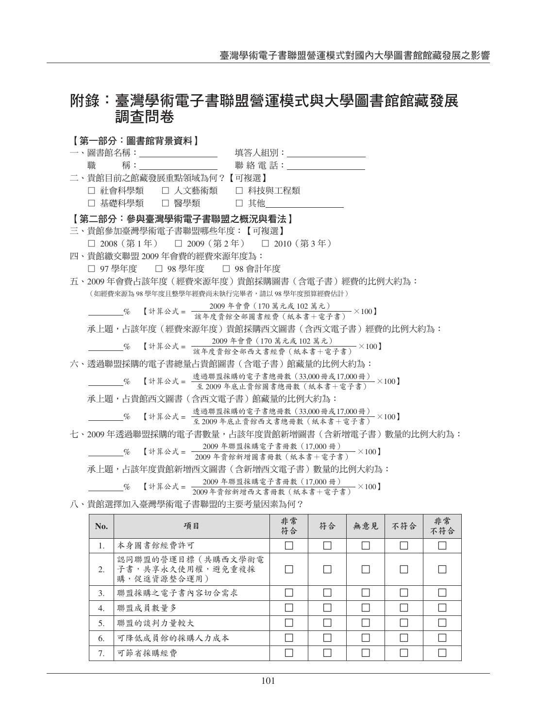# 附錄:臺灣學術電子書聯盟營運模式與大學圖書館館藏發展 調查問卷

【第一部分:圖書館背景資料】 一、圖書館名稱:\_\_\_\_\_\_\_\_\_\_\_\_\_\_\_\_\_ 填答人組別:\_\_\_\_\_\_\_\_\_\_\_\_\_ 職 稱: 聯 絡 電 話: 聯 絡 電 話: ■ 二、貴館目前之館藏發展重點領域為何?【可複選】 □ 社會科學類 □ 人文藝術類 □ 科技與工程類 □ 基礎科學類 □ 醫學類 □ 其他 【第二部分:參與臺灣學術電子書聯盟之概況與看法】 三、貴館參加臺灣學術電子書聯盟哪些年度:【可複選】 □ 2008(第1年) □ 2009(第2年) □ 2010(第3年) 四、貴館繳交聯盟 2009 年會費的經費來源年度為: □ 97 學年度 □ 98 學年度 □ 98 會計年度 五、2009 年會費占該年度(經費來源年度)貴館採購圖書(含電子書)經費的比例大約為: (如經費來源為 98 學年度且整學年經費尚未執行完畢者,請以 98 學年度預算經費估計) % 【計算公式 <sup>=</sup> <sup>2009</sup> 年會費(<sup>170</sup> 萬元或 <sup>102</sup> 萬元) <sup>×</sup>100】 該年度貴館全部圖書經費(紙本書+電子書) 承上題,占該年度(經費來源年度)貴館採購西文圖書(含西文電子書)經費的比例大約為: % 【計算公式 <sup>=</sup> <sup>2009</sup> 年會費(<sup>170</sup> 萬元或 <sup>102</sup> 萬元) <sup>×</sup>100】 該年度貴館全部西文書經費(紙本書+電子書) 六、透過聯盟採購的電子書總量占貴館圖書(含電子書)館藏量的比例大約為:  $\begin{array}{rcl} \begin{array}{rcl} \text{\textbf{m}} & \begin{array}{l} \text{17,000 m} \\ \text{18,000 m} \end{array} \end{array} & \begin{array}{rcl} \text{19,000 m} \\ \text{19,000 m} \end{array} & \begin{array}{lcl} \text{19,000 m} \\ \text{19,000 m} \end{array} & \begin{array}{lcl} \text{19,000 m} \\ \text{19,000 m} \end{array} & \begin{array}{lcl} \text{19,000 m} \\ \text{19,000 m} \end{array} & \begin{array}{$ 承上題,占貴館西文圖書(含西文電子書)館藏量的比例大約為:  $\begin{array}{rcl} \hline \hspace*{1.5mm} & \hspace*{1.5mm} & \hspace*{1.5mm} & \hspace*{1.5mm} & \hspace*{1.5mm} \frac{1}{2} \left( \frac{1}{2} \right) \left( \frac{1}{2} \right) \left( \frac{1}{2} \right) \left( \frac{1}{2} \right) \left( \frac{1}{2} \right) \left( \frac{1}{2} \right) \left( \frac{1}{2} \right) \left( \frac{1}{2} \right) \left( \frac{1}{2} \right) \left( \frac{1}{2} \right) \left( \frac{1}{2} \right) \left( \$ 七、2009 年透過聯盟採購的電子書數量,占該年度貴館新增圖書(含新增電子書)數量的比例大約為:  $\frac{6}{17}$   $\frac{200}{17}$   $\frac{17}{100}$   $\frac{2009}{17}$   $\frac{2009}{17}$   $\frac{2009}{17}$   $\frac{2009}{17}$   $\frac{2009}{17}$   $\frac{2009}{17}$   $\frac{2009}{17}$   $\frac{2009}{17}$   $\frac{2009}{17}$   $\frac{2009}{17}$   $\frac{2009}{17}$   $\frac{2009}{17}$   $\frac{2009}{17}$  承上題,占該年度貴館新增西文圖書(含新增西文電子書)數量的比例大約為: **──────────────────────────────** 【計算公式 = <sup>2009</sup> 十册與称輯 电 1 音 m 数 (17,000 m )<br>───────────────────────── 2009 年貴館新増西文書冊數 (紙本書+電子書) ×100】 八、貴館選擇加入臺灣學術電子書聯盟的主要考量因素為何?

| No.              | 項目                                                     | 非常<br>符合 | 符合 | 無意見 | 不符合 | 非常<br>不符合 |
|------------------|--------------------------------------------------------|----------|----|-----|-----|-----------|
| 1.               | 本身圖書館經費許可                                              |          |    |     |     |           |
| 2.               | 認同聯盟的營運目標(共購西文學術電<br>子書, 共享永久使用權, 避免重複採<br>購,促進資源整合運用) |          |    |     |     |           |
| 3.               | 聯盟採購之電子書內容切合需求                                         |          |    |     |     |           |
| $\overline{4}$ . | 聯盟成員數量多                                                |          |    |     |     |           |
| 5.               | 聯盟的談判力量較大                                              |          |    |     |     |           |
| 6.               | 可降低成員館的採購人力成本                                          |          |    |     |     |           |
| 7.               | 可節省採購經費                                                |          |    |     |     |           |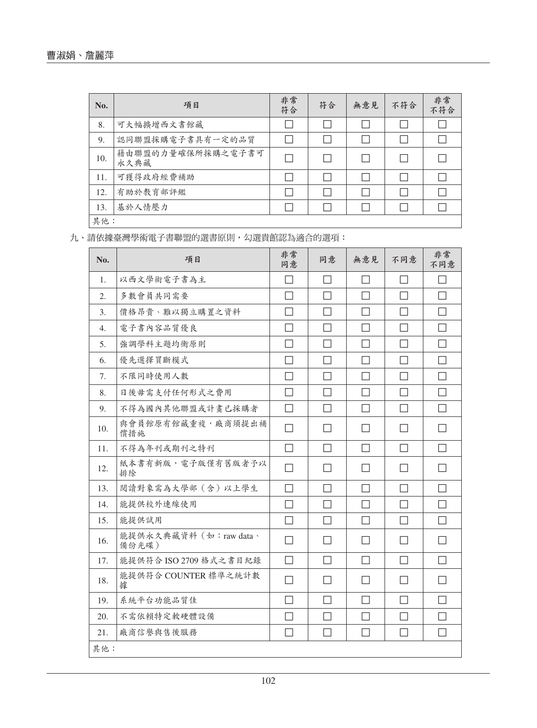| No. | 項目                        | 非常<br>符合 | 符合 | 無意見 | 不符合 | 非常<br>不符合 |
|-----|---------------------------|----------|----|-----|-----|-----------|
| 8.  | 可大幅擴增西文書館藏                |          |    |     |     |           |
| 9.  | 認同聯盟採購電子書具有一定的品質          |          |    |     |     |           |
| 10. | 藉由聯盟的力量確保所採購之電子書可<br>永久典藏 | □        |    |     |     |           |
| 11. | 可獲得政府經費補助                 |          |    |     |     |           |
| 12. | 有助於教育部評鑑                  |          |    |     |     |           |
| 13. | 基於人情壓力                    |          |    |     |     |           |
| 其他: |                           |          |    |     |     |           |

九、請依據臺灣學術電子書聯盟的選書原則,勾選貴館認為適合的選項:

| No. | 項目                             | 非常<br>同意                 | 同意           | 無意見          | 不同意               | 非常<br>不同意    |
|-----|--------------------------------|--------------------------|--------------|--------------|-------------------|--------------|
| 1.  | 以西文學術電子書為主                     | П                        | П            | $\mathsf{L}$ | $\perp$           | $\mathsf{L}$ |
| 2.  | 多數會員共同需要                       | $\Box$                   | П            | $\perp$      | П                 |              |
| 3.  | 價格昂貴、難以獨立購置之資料                 |                          | $\mathsf{L}$ |              | $\mathsf{L}$      | $\Box$       |
| 4.  | 電子書內容品質優良                      | $\overline{\phantom{a}}$ | $\mathsf{L}$ | $\perp$      | $\mathsf{L}$      |              |
| 5.  | 強調學科主題均衡原則                     | $\mathcal{L}$            | П            | П            | $\mathsf{L}$      | П            |
| 6.  | 優先選擇買斷模式                       | L                        | П            | П            | $\vert \ \ \vert$ | $\Box$       |
| 7.  | 不限同時使用人數                       |                          | $\mathsf{L}$ | $\perp$      | $\mathsf{L}$      | $\Box$       |
| 8.  | 日後毋需支付任何形式之費用                  | $\mathcal{L}$            | П            | $\perp$      | $\perp$           | $\mathsf{L}$ |
| 9.  | 不得為國內其他聯盟或計畫已採購者               | ΙI                       | $\mathsf{L}$ | $\perp$      | $\mathsf{L}$      | $\mathsf{L}$ |
| 10. | 與會員館原有館藏重複,廠商須提出補<br>償措施       | $\mathbf{I}$             |              |              | $\mathsf{L}$      |              |
| 11. | 不得為年刊或期刊之特刊                    | П                        | $\mathsf{L}$ | $\perp$      | $\perp$           | $\mathsf{L}$ |
| 12. | 紙本書有新版, 電子版僅有舊版者予以<br>排除       | П                        |              |              | $\mathsf{L}$      |              |
| 13. | 閲讀對象需為大學部(含)以上學生               | П                        | П            | П            | П                 | $\mathsf{L}$ |
| 14. | 能提供校外連線使用                      | П                        | П            | П            | П                 | П            |
| 15. | 能提供試用                          | $\Box$                   | $\mathsf{L}$ | $\perp$      | П                 |              |
| 16. | 能提供永久典藏資料(如:raw data、<br>備份光碟) | $\overline{\phantom{a}}$ | ΙI           | $\mathsf{L}$ | $\mathsf{L}$      |              |
| 17. | 能提供符合 ISO 2709 格式之書目紀錄         | П                        | П            | П            | П                 |              |
| 18. | 能提供符合 COUNTER 標準之統計數<br>據      |                          |              |              | $\mathsf{L}$      |              |
| 19. | 系統平台功能品質佳                      | $\sim$                   | $\mathsf{L}$ | $\perp$      | $\mathsf{L}$      |              |
| 20. | 不需依賴特定軟硬體設備                    |                          |              |              |                   |              |
| 21. | 廠商信譽與售後服務                      |                          |              |              |                   |              |
| 其他: |                                |                          |              |              |                   |              |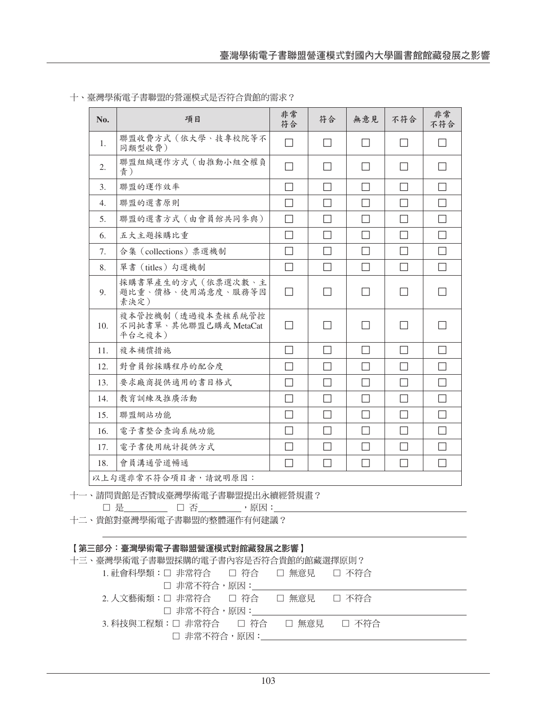| No.              | 項目                                                             | 非常<br>符合                 | 符合           | 無意見          | 不符合          | 非常<br>不符合    |
|------------------|----------------------------------------------------------------|--------------------------|--------------|--------------|--------------|--------------|
| 1.               | 聯盟收費方式(依大學、技專校院等不<br>同類型收費)                                    | П                        | П            | $\mathsf{L}$ | П            |              |
| 2.               | 聯盟組織運作方式(由推動小組全權負<br>青)                                        |                          | $\mathsf{L}$ | $\mathsf{L}$ | $\perp$      | $\mathsf{L}$ |
| 3.               | 聯盟的運作效率                                                        | $\Box$                   | П            | П            | П            | П            |
| $\overline{4}$ . | 聯盟的選書原則                                                        | П                        | П            | П            | П            | П            |
| 5.               | 聯盟的選書方式 (由會員館共同參與)                                             | П                        | П            | П            | П            | П            |
| 6.               | 五大主題採購比重                                                       | П                        | П            | П            | П            | П            |
| 7.               | 合集 (collections) 票選機制                                          | П                        | П            | П            | П            | П            |
| 8.               | 單書 (titles) 勾選機制                                               | П                        | П            | П            | П            | П            |
| 9.               | 採購書單產生的方式(依票選次數、主<br>題比重、價格、使用滿意度、服務等因<br>素決定)                 | $\mathsf{L}$             | $\mathsf{L}$ | $\Box$       | $\mathsf{L}$ |              |
| 10.              | 複本管控機制(透過複本查核系統管控<br>不同批書單、其他聯盟已購或 MetaCat<br>平台之複本)           | $\mathsf{L}$             | $\mathsf{L}$ | $\mathsf{L}$ | $\perp$      | $\mathsf{L}$ |
| 11.              | 複本補償措施                                                         | $\mathbf{I}$             | П            | П            | П            | П            |
| 12.              | 對會員館採購程序的配合度                                                   | П                        | П            | П            | П            | П            |
| 13.              | 要求廠商提供適用的書目格式                                                  |                          | П            | П            | П            | П            |
| 14.              | 教育訓練及推廣活動                                                      | П                        | П            | П            | П            | П            |
| 15.              | 聯盟網站功能                                                         | $\overline{\phantom{a}}$ | П            | $\mathsf{L}$ | П            | П            |
| 16.              | 電子書整合查詢系統功能                                                    | П                        | П            | П            | П            | $\Box$       |
| 17.              | 電子書使用統計提供方式                                                    |                          | П            |              | П            |              |
| 18.              | 會員溝通管道暢通                                                       | П                        | П            | $\mathsf{L}$ | $\perp$      | П            |
|                  | 以上勾選非常不符合項目者,請說明原因:                                            |                          |              |              |              |              |
|                  | 一、請問貴館是否贊成臺灣學術電子書聯盟提出永續經營規畫?<br>□ 是_________ □ 否_________, 原因: |                          |              |              |              |              |

十、臺灣學術電子書聯盟的營運模式是否符合貴館的需求?

十一、請問貴館是否贊成臺灣學術電子書聯盟提出永續經營規畫?

十二、貴館對臺灣學術電子書聯盟的整體運作有何建議?

#### 【第三部分:臺灣學術電子書聯盟營運模式對館藏發展之影響】

十三、臺灣學術電子書聯盟採購的電子書內容是否符合貴館的館藏選擇原則?

| 1. 社會科學類:□ 非常符合  □ 符合  □ 無意見  □ 不符合   |  |  |
|---------------------------------------|--|--|
| □ 非常不符合,原因:                           |  |  |
| 2. 人文藝術類:□ 非常符合   □ 符合   □ 無意見  □ 不符合 |  |  |
| □ 非常不符合,原因:                           |  |  |
|                                       |  |  |
| □ 非常不符合,原因:                           |  |  |